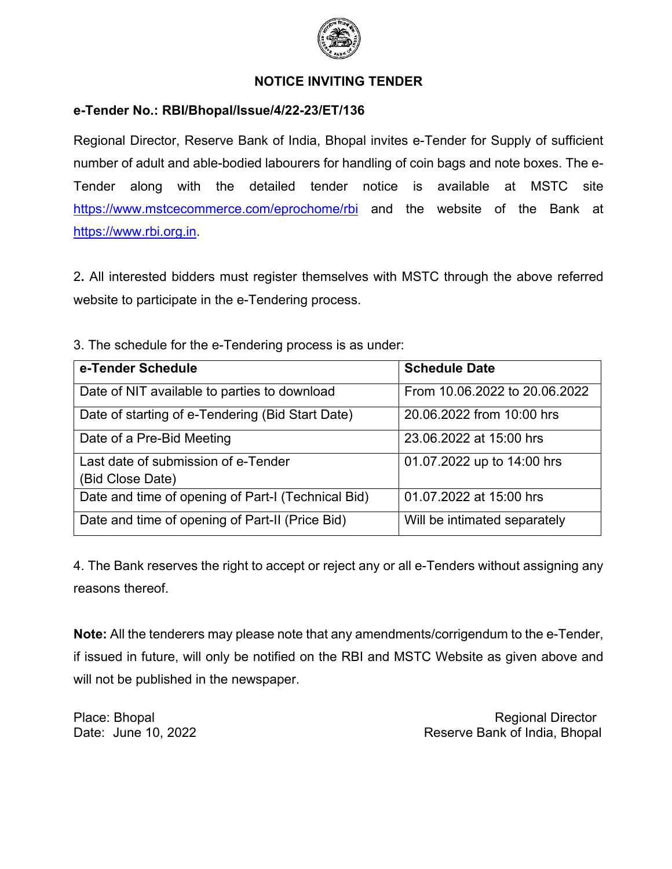

### **NOTICE INVITING TENDER**

#### **e-Tender No.: RBI/Bhopal/Issue/4/22-23/ET/136**

Regional Director, Reserve Bank of India, Bhopal invites e-Tender for Supply of sufficient number of adult and able-bodied labourers for handling of coin bags and note boxes. The e-Tender along with the detailed tender notice is available at MSTC site <https://www.mstcecommerce.com/eprochome/rbi> and the website of the Bank at [https://www.rbi.org.in.](https://www.rbi.org.in/)

2**.** All interested bidders must register themselves with MSTC through the above referred website to participate in the e-Tendering process.

3. The schedule for the e-Tendering process is as under:

| e-Tender Schedule                                  | <b>Schedule Date</b>          |
|----------------------------------------------------|-------------------------------|
| Date of NIT available to parties to download       | From 10.06.2022 to 20.06.2022 |
| Date of starting of e-Tendering (Bid Start Date)   | 20.06.2022 from 10:00 hrs     |
| Date of a Pre-Bid Meeting                          | 23.06.2022 at 15:00 hrs       |
| Last date of submission of e-Tender                | 01.07.2022 up to 14:00 hrs    |
| (Bid Close Date)                                   |                               |
| Date and time of opening of Part-I (Technical Bid) | 01.07.2022 at 15:00 hrs       |
| Date and time of opening of Part-II (Price Bid)    | Will be intimated separately  |

4. The Bank reserves the right to accept or reject any or all e-Tenders without assigning any reasons thereof.

**Note:** All the tenderers may please note that any amendments/corrigendum to the e-Tender, if issued in future, will only be notified on the RBI and MSTC Website as given above and will not be published in the newspaper.

Place: Bhopal Regional Director Control of the Control of the Regional Director Control of the Regional Director Date: June 10, 2022 *Date: June 10, 2022* **Reserve Bank of India, Bhopal**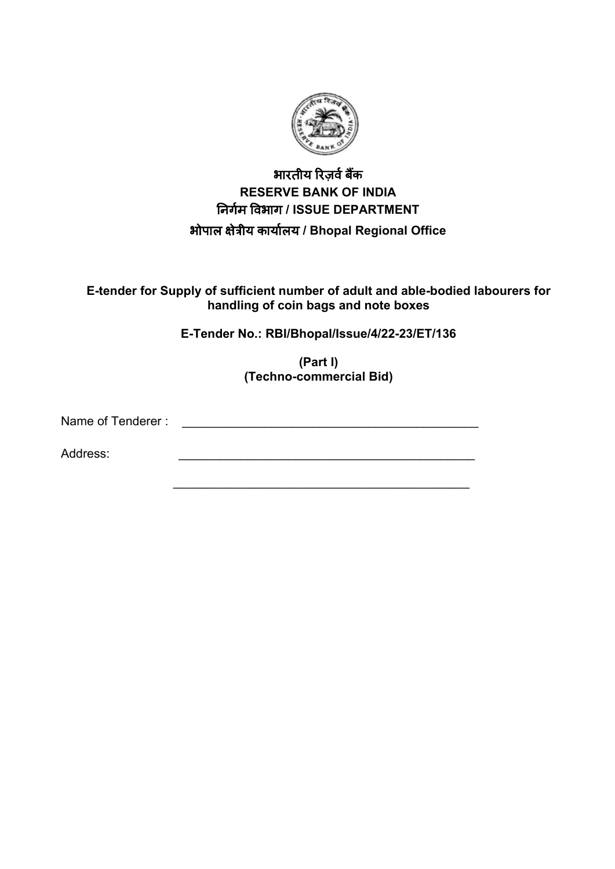

## भारतीय रिज़र्व बैंक **RESERVE BANK OF INDIA** �नगर्म �वभाग **/ ISSUE DEPARTMENT** भोपाल �ेत्रीय कायार्लय **/ Bhopal Regional Office**

**E-tender for Supply of sufficient number of adult and able-bodied labourers for handling of coin bags and note boxes** 

**E-Tender No.: RBI/Bhopal/Issue/4/22-23/ET/136**

**(Part I) (Techno-commercial Bid)**

 $\overline{\phantom{a}}$  , and the contract of the contract of the contract of the contract of the contract of the contract of the contract of the contract of the contract of the contract of the contract of the contract of the contrac

Name of Tenderer :

Address: \_\_\_\_\_\_\_\_\_\_\_\_\_\_\_\_\_\_\_\_\_\_\_\_\_\_\_\_\_\_\_\_\_\_\_\_\_\_\_\_\_\_\_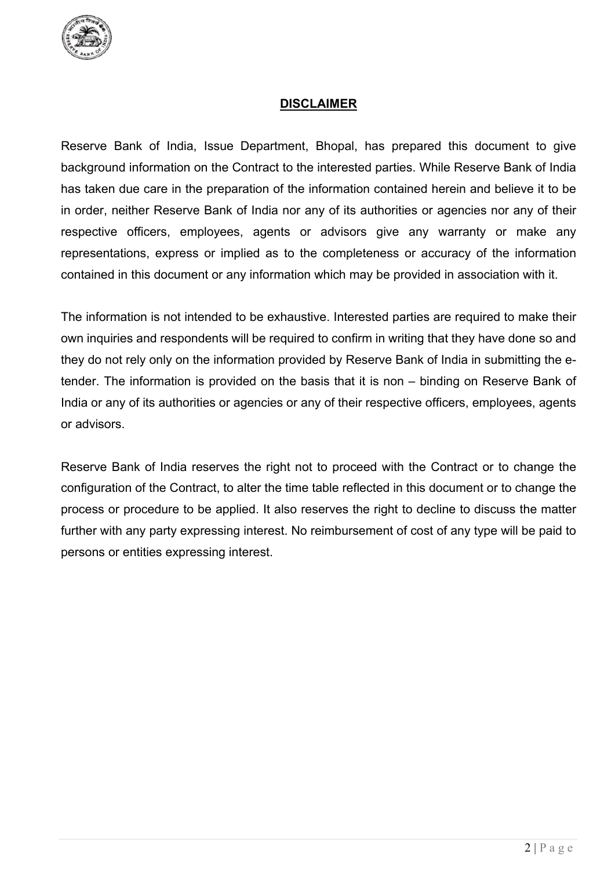

## **DISCLAIMER**

Reserve Bank of India, Issue Department, Bhopal, has prepared this document to give background information on the Contract to the interested parties. While Reserve Bank of India has taken due care in the preparation of the information contained herein and believe it to be in order, neither Reserve Bank of India nor any of its authorities or agencies nor any of their respective officers, employees, agents or advisors give any warranty or make any representations, express or implied as to the completeness or accuracy of the information contained in this document or any information which may be provided in association with it.

The information is not intended to be exhaustive. Interested parties are required to make their own inquiries and respondents will be required to confirm in writing that they have done so and they do not rely only on the information provided by Reserve Bank of India in submitting the etender. The information is provided on the basis that it is non – binding on Reserve Bank of India or any of its authorities or agencies or any of their respective officers, employees, agents or advisors.

Reserve Bank of India reserves the right not to proceed with the Contract or to change the configuration of the Contract, to alter the time table reflected in this document or to change the process or procedure to be applied. It also reserves the right to decline to discuss the matter further with any party expressing interest. No reimbursement of cost of any type will be paid to persons or entities expressing interest.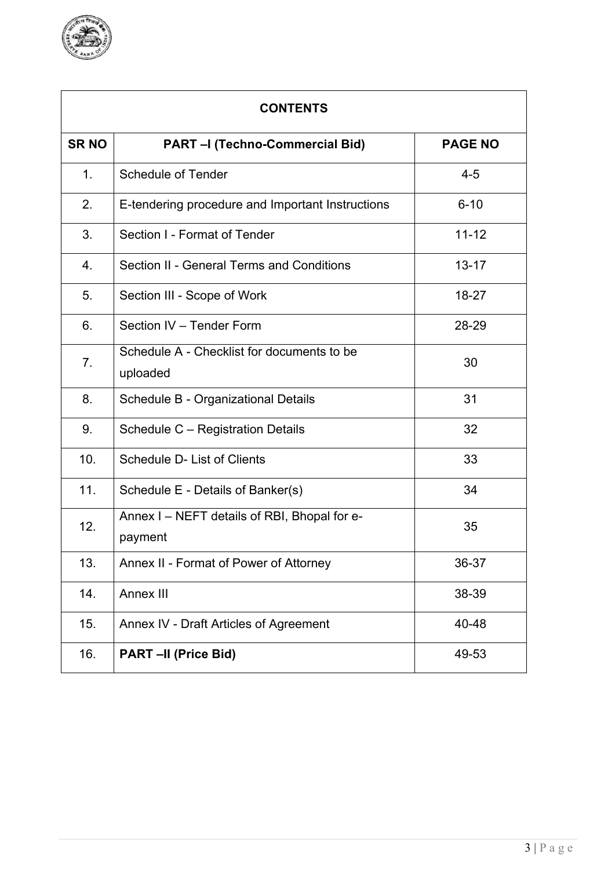

| <b>CONTENTS</b> |                                                         |                |  |
|-----------------|---------------------------------------------------------|----------------|--|
| <b>SRNO</b>     | <b>PART - (Techno-Commercial Bid)</b>                   | <b>PAGE NO</b> |  |
| 1 <sub>1</sub>  | <b>Schedule of Tender</b>                               | $4 - 5$        |  |
| 2.              | E-tendering procedure and Important Instructions        | $6 - 10$       |  |
| 3.              | Section I - Format of Tender                            | $11 - 12$      |  |
| 4.              | Section II - General Terms and Conditions               | $13 - 17$      |  |
| 5.              | Section III - Scope of Work                             | 18-27          |  |
| 6.              | Section IV - Tender Form                                | 28-29          |  |
| 7.              | Schedule A - Checklist for documents to be<br>uploaded  | 30             |  |
| 8.              | Schedule B - Organizational Details                     | 31             |  |
| 9.              | Schedule C – Registration Details                       | 32             |  |
| 10.             | Schedule D- List of Clients                             | 33             |  |
| 11.             | Schedule E - Details of Banker(s)                       | 34             |  |
| 12.             | Annex I - NEFT details of RBI, Bhopal for e-<br>payment | 35             |  |
| 13.             | Annex II - Format of Power of Attorney                  | 36-37          |  |
| 14.             | Annex III                                               | 38-39          |  |
| 15.             | Annex IV - Draft Articles of Agreement                  | 40-48          |  |
| 16.             | PART-II (Price Bid)                                     | 49-53          |  |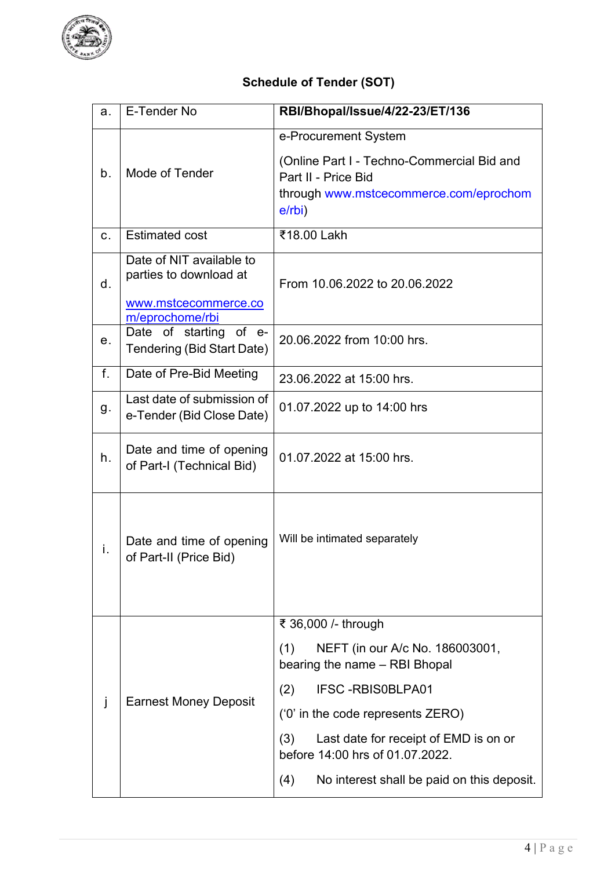

## **Schedule of Tender (SOT)**

| a.                                | E-Tender No                                                                                   | RBI/Bhopal/Issue/4/22-23/ET/136                                                                                                     |  |  |
|-----------------------------------|-----------------------------------------------------------------------------------------------|-------------------------------------------------------------------------------------------------------------------------------------|--|--|
| Mode of Tender<br>b.<br>$e$ /rbi) |                                                                                               | e-Procurement System<br>(Online Part I - Techno-Commercial Bid and<br>Part II - Price Bid<br>through www.mstcecommerce.com/eprochom |  |  |
| $C_{-}$                           | <b>Estimated cost</b>                                                                         | ₹18.00 Lakh                                                                                                                         |  |  |
| d.                                | Date of NIT available to<br>parties to download at<br>www.mstcecommerce.co<br>m/eprochome/rbi | From 10.06.2022 to 20.06.2022<br>20.06.2022 from 10:00 hrs.                                                                         |  |  |
| е.                                | Date of starting of e-<br>Tendering (Bid Start Date)                                          |                                                                                                                                     |  |  |
| f.                                | Date of Pre-Bid Meeting                                                                       | 23.06.2022 at 15:00 hrs.                                                                                                            |  |  |
| g.                                | Last date of submission of<br>e-Tender (Bid Close Date)                                       | 01.07.2022 up to 14:00 hrs                                                                                                          |  |  |
| h.                                | Date and time of opening<br>of Part-I (Technical Bid)                                         | 01.07.2022 at 15:00 hrs.                                                                                                            |  |  |
| i.                                | Date and time of opening<br>of Part-II (Price Bid)                                            | Will be intimated separately                                                                                                        |  |  |
|                                   |                                                                                               | ₹ 36,000 /- through                                                                                                                 |  |  |
|                                   | <b>Earnest Money Deposit</b>                                                                  | (1)<br>NEFT (in our A/c No. 186003001,<br>bearing the name - RBI Bhopal                                                             |  |  |
|                                   |                                                                                               | <b>IFSC-RBISOBLPA01</b><br>(2)                                                                                                      |  |  |
| J                                 |                                                                                               | $(0)$ in the code represents ZERO)                                                                                                  |  |  |
|                                   |                                                                                               | Last date for receipt of EMD is on or<br>(3)<br>before 14:00 hrs of 01.07.2022.                                                     |  |  |
|                                   |                                                                                               | (4)<br>No interest shall be paid on this deposit.                                                                                   |  |  |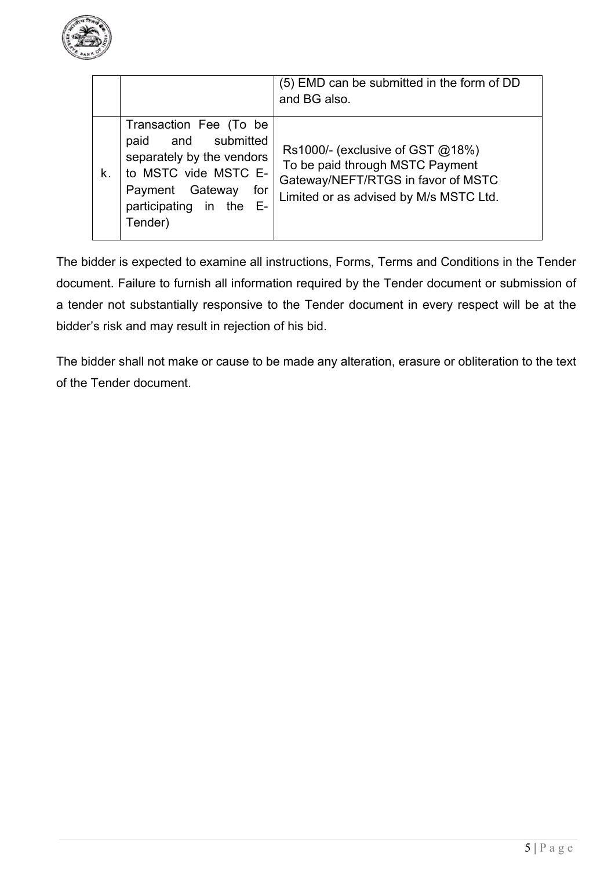

|    |                                                                                                                                                                           | (5) EMD can be submitted in the form of DD<br>and BG also.                                                                                              |
|----|---------------------------------------------------------------------------------------------------------------------------------------------------------------------------|---------------------------------------------------------------------------------------------------------------------------------------------------------|
| k. | Transaction Fee (To be<br>and submitted<br>paid<br>separately by the vendors<br>to MSTC vide MSTC E-<br>Payment Gateway<br>for<br>participating in the<br>- E-<br>Tender) | Rs1000/- (exclusive of GST $@18\%$ )<br>To be paid through MSTC Payment<br>Gateway/NEFT/RTGS in favor of MSTC<br>Limited or as advised by M/s MSTC Ltd. |

The bidder is expected to examine all instructions, Forms, Terms and Conditions in the Tender document. Failure to furnish all information required by the Tender document or submission of a tender not substantially responsive to the Tender document in every respect will be at the bidder's risk and may result in rejection of his bid.

The bidder shall not make or cause to be made any alteration, erasure or obliteration to the text of the Tender document.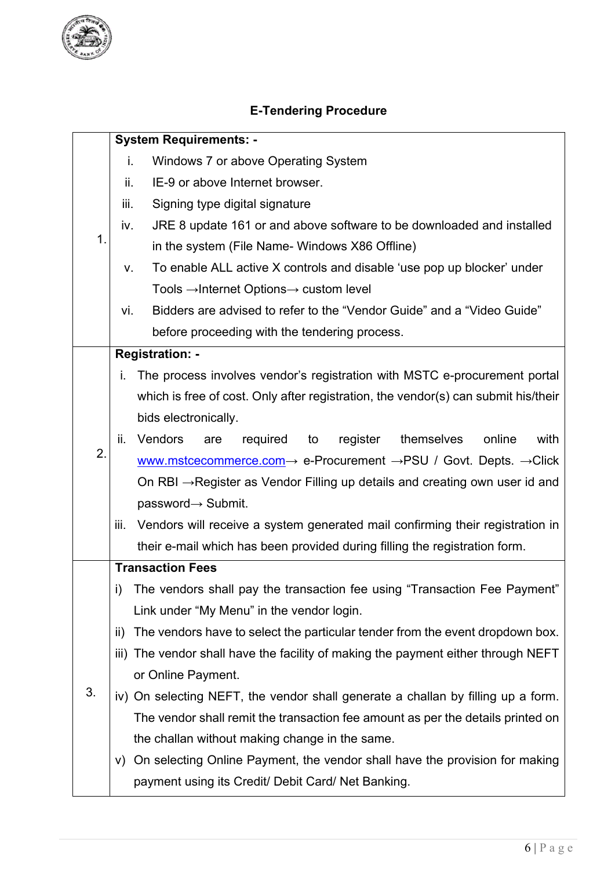

# **E-Tendering Procedure**

|             | <b>System Requirements: -</b>                                                |                                                                                                        |  |  |  |  |
|-------------|------------------------------------------------------------------------------|--------------------------------------------------------------------------------------------------------|--|--|--|--|
|             | i.                                                                           | Windows 7 or above Operating System                                                                    |  |  |  |  |
|             | ii.                                                                          | IE-9 or above Internet browser.                                                                        |  |  |  |  |
|             | iii.                                                                         | Signing type digital signature                                                                         |  |  |  |  |
|             | iv.                                                                          | JRE 8 update 161 or and above software to be downloaded and installed                                  |  |  |  |  |
| $\mathbf 1$ |                                                                              | in the system (File Name- Windows X86 Offline)                                                         |  |  |  |  |
|             | To enable ALL active X controls and disable 'use pop up blocker' under<br>V. |                                                                                                        |  |  |  |  |
|             | Tools $\rightarrow$ Internet Options $\rightarrow$ custom level              |                                                                                                        |  |  |  |  |
|             | vi.                                                                          | Bidders are advised to refer to the "Vendor Guide" and a "Video Guide"                                 |  |  |  |  |
|             |                                                                              | before proceeding with the tendering process.                                                          |  |  |  |  |
|             |                                                                              | <b>Registration: -</b>                                                                                 |  |  |  |  |
|             | i.                                                                           | The process involves vendor's registration with MSTC e-procurement portal                              |  |  |  |  |
|             |                                                                              | which is free of cost. Only after registration, the vendor(s) can submit his/their                     |  |  |  |  |
|             |                                                                              | bids electronically.                                                                                   |  |  |  |  |
|             | ii.                                                                          | Vendors<br>required<br>register<br>themselves<br>online<br>with<br>to<br>are                           |  |  |  |  |
| 2.          |                                                                              | www.mstcecommerce.com $\rightarrow$ e-Procurement $\rightarrow$ PSU / Govt. Depts. $\rightarrow$ Click |  |  |  |  |
|             |                                                                              | On RBI $\rightarrow$ Register as Vendor Filling up details and creating own user id and                |  |  |  |  |
|             |                                                                              | password→ Submit.                                                                                      |  |  |  |  |
|             | iii.                                                                         | Vendors will receive a system generated mail confirming their registration in                          |  |  |  |  |
|             | their e-mail which has been provided during filling the registration form.   |                                                                                                        |  |  |  |  |
|             | <b>Transaction Fees</b>                                                      |                                                                                                        |  |  |  |  |
|             | i)                                                                           | The vendors shall pay the transaction fee using "Transaction Fee Payment"                              |  |  |  |  |
|             |                                                                              | Link under "My Menu" in the vendor login.                                                              |  |  |  |  |
|             | ii)                                                                          | The vendors have to select the particular tender from the event dropdown box.                          |  |  |  |  |
|             |                                                                              | iii) The vendor shall have the facility of making the payment either through NEFT                      |  |  |  |  |
|             |                                                                              | or Online Payment.                                                                                     |  |  |  |  |
| 3.          |                                                                              | iv) On selecting NEFT, the vendor shall generate a challan by filling up a form.                       |  |  |  |  |
|             |                                                                              | The vendor shall remit the transaction fee amount as per the details printed on                        |  |  |  |  |
|             |                                                                              | the challan without making change in the same.                                                         |  |  |  |  |
|             | V)                                                                           | On selecting Online Payment, the vendor shall have the provision for making                            |  |  |  |  |
|             |                                                                              | payment using its Credit/ Debit Card/ Net Banking.                                                     |  |  |  |  |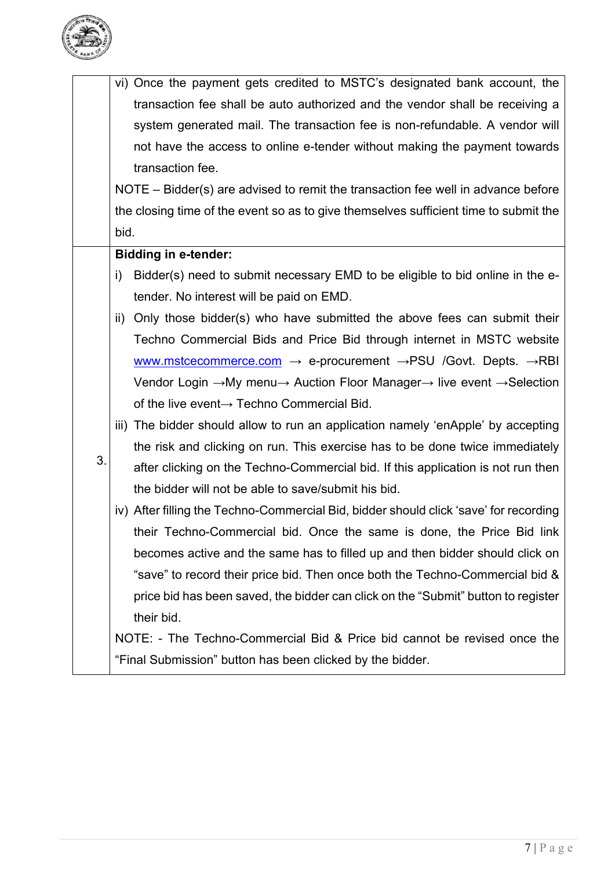

|    | vi) Once the payment gets credited to MSTC's designated bank account, the                                               |
|----|-------------------------------------------------------------------------------------------------------------------------|
|    | transaction fee shall be auto authorized and the vendor shall be receiving a                                            |
|    | system generated mail. The transaction fee is non-refundable. A vendor will                                             |
|    | not have the access to online e-tender without making the payment towards                                               |
|    | transaction fee.                                                                                                        |
|    | NOTE – Bidder(s) are advised to remit the transaction fee well in advance before                                        |
|    | the closing time of the event so as to give themselves sufficient time to submit the                                    |
|    | bid.                                                                                                                    |
|    | <b>Bidding in e-tender:</b>                                                                                             |
|    | Bidder(s) need to submit necessary EMD to be eligible to bid online in the e-<br>i)                                     |
|    | tender. No interest will be paid on EMD.                                                                                |
|    | ii) Only those bidder(s) who have submitted the above fees can submit their                                             |
|    | Techno Commercial Bids and Price Bid through internet in MSTC website                                                   |
|    | www.mstcecommerce.com $\rightarrow$ e-procurement $\rightarrow$ PSU /Govt. Depts. $\rightarrow$ RBI                     |
|    | Vendor Login $\rightarrow$ My menu $\rightarrow$ Auction Floor Manager $\rightarrow$ live event $\rightarrow$ Selection |
|    | of the live event→ Techno Commercial Bid.                                                                               |
|    | iii) The bidder should allow to run an application namely 'enApple' by accepting                                        |
|    | the risk and clicking on run. This exercise has to be done twice immediately                                            |
| 3. | after clicking on the Techno-Commercial bid. If this application is not run then                                        |
|    | the bidder will not be able to save/submit his bid.                                                                     |
|    | iv) After filling the Techno-Commercial Bid, bidder should click 'save' for recording                                   |
|    | their Techno-Commercial bid. Once the same is done, the Price Bid link                                                  |
|    | becomes active and the same has to filled up and then bidder should click on                                            |
|    | "save" to record their price bid. Then once both the Techno-Commercial bid &                                            |
|    | price bid has been saved, the bidder can click on the "Submit" button to register                                       |
|    | their bid.                                                                                                              |
|    | NOTE: - The Techno-Commercial Bid & Price bid cannot be revised once the                                                |
|    | "Final Submission" button has been clicked by the bidder.                                                               |
|    |                                                                                                                         |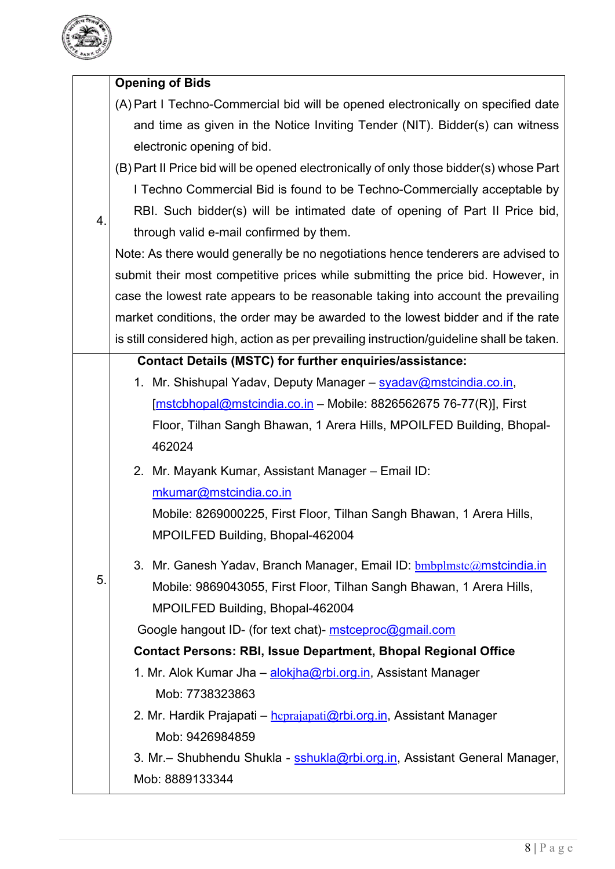

|    | <b>Opening of Bids</b>                                                                   |
|----|------------------------------------------------------------------------------------------|
|    | (A) Part I Techno-Commercial bid will be opened electronically on specified date         |
|    | and time as given in the Notice Inviting Tender (NIT). Bidder(s) can witness             |
|    | electronic opening of bid.                                                               |
|    | (B) Part II Price bid will be opened electronically of only those bidder(s) whose Part   |
|    | I Techno Commercial Bid is found to be Techno-Commercially acceptable by                 |
| 4. | RBI. Such bidder(s) will be intimated date of opening of Part II Price bid,              |
|    | through valid e-mail confirmed by them.                                                  |
|    | Note: As there would generally be no negotiations hence tenderers are advised to         |
|    | submit their most competitive prices while submitting the price bid. However, in         |
|    | case the lowest rate appears to be reasonable taking into account the prevailing         |
|    | market conditions, the order may be awarded to the lowest bidder and if the rate         |
|    | is still considered high, action as per prevailing instruction/guideline shall be taken. |
|    | <b>Contact Details (MSTC) for further enquiries/assistance:</b>                          |
|    | 1. Mr. Shishupal Yadav, Deputy Manager - syadav@mstcindia.co.in,                         |
|    | [mstcbhopal@mstcindia.co.in - Mobile: 8826562675 76-77(R)], First                        |
|    | Floor, Tilhan Sangh Bhawan, 1 Arera Hills, MPOILFED Building, Bhopal-                    |
|    | 462024                                                                                   |
|    | 2. Mr. Mayank Kumar, Assistant Manager - Email ID:                                       |
|    | mkumar@mstcindia.co.in                                                                   |
|    | Mobile: 8269000225, First Floor, Tilhan Sangh Bhawan, 1 Arera Hills,                     |
|    | MPOILFED Building, Bhopal-462004                                                         |
|    | 3. Mr. Ganesh Yadav, Branch Manager, Email ID: bmbplmstc@mstcindia.in                    |
| 5. | Mobile: 9869043055, First Floor, Tilhan Sangh Bhawan, 1 Arera Hills,                     |
|    | MPOILFED Building, Bhopal-462004                                                         |
|    | Google hangout ID- (for text chat)- mstceproc@gmail.com                                  |
|    | <b>Contact Persons: RBI, Issue Department, Bhopal Regional Office</b>                    |
|    | 1. Mr. Alok Kumar Jha – alokjha@rbi.org.in, Assistant Manager                            |
|    | Mob: 7738323863                                                                          |
|    | 2. Mr. Hardik Prajapati – hcprajapati@rbi.org.in, Assistant Manager                      |
|    | Mob: 9426984859                                                                          |
|    | 3. Mr.– Shubhendu Shukla - sshukla@rbi.org.in, Assistant General Manager,                |
|    | Mob: 8889133344                                                                          |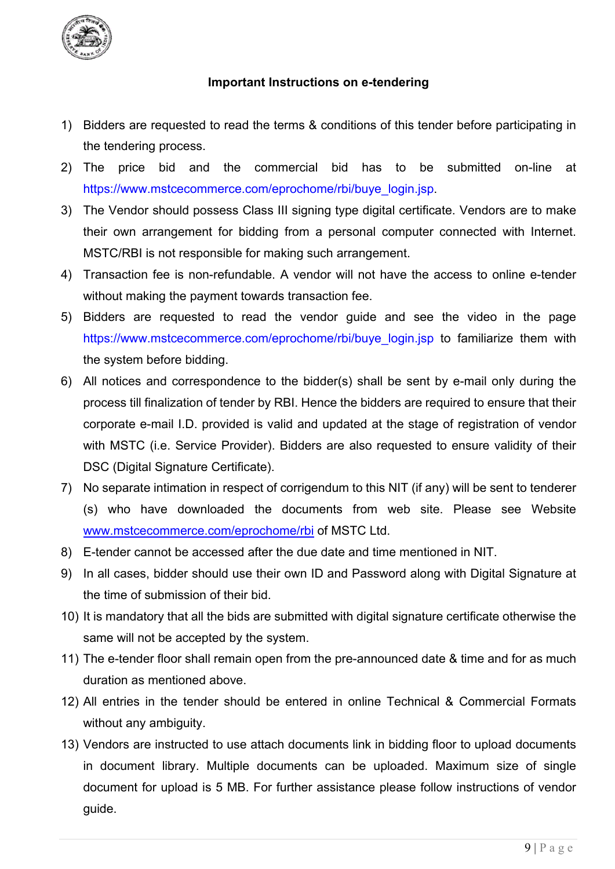

## **Important Instructions on e-tendering**

- 1) Bidders are requested to read the terms & conditions of this tender before participating in the tendering process.
- 2) The price bid and the commercial bid has to be submitted on-line at [https://www.mstcecommerce.com/eprochome/rbi/buye\\_login.jsp.](https://www.mstcecommerce.com/eprochome/rbi/buye_login.jsp)
- 3) The Vendor should possess Class III signing type digital certificate. Vendors are to make their own arrangement for bidding from a personal computer connected with Internet. MSTC/RBI is not responsible for making such arrangement.
- 4) Transaction fee is non-refundable. A vendor will not have the access to online e-tender without making the payment towards transaction fee.
- 5) Bidders are requested to read the vendor guide and see the video in the page [https://www.mstcecommerce.com/eprochome/rbi/buye\\_login.jsp](https://www.mstcecommerce.com/eprochome/rbi/buyelogin.jsp) to familiarize them with the system before bidding.
- 6) All notices and correspondence to the bidder(s) shall be sent by e-mail only during the process till finalization of tender by RBI. Hence the bidders are required to ensure that their corporate e-mail I.D. provided is valid and updated at the stage of registration of vendor with MSTC (i.e. Service Provider). Bidders are also requested to ensure validity of their DSC (Digital Signature Certificate).
- 7) No separate intimation in respect of corrigendum to this NIT (if any) will be sent to tenderer (s) who have downloaded the documents from web site. Please see Website [www.mstcecommerce.com/eprochome/rbi](https://www.mstcecommerce.com/eprochome/rbi) of MSTC Ltd.
- 8) E-tender cannot be accessed after the due date and time mentioned in NIT.
- 9) In all cases, bidder should use their own ID and Password along with Digital Signature at the time of submission of their bid.
- 10) It is mandatory that all the bids are submitted with digital signature certificate otherwise the same will not be accepted by the system.
- 11) The e-tender floor shall remain open from the pre-announced date & time and for as much duration as mentioned above.
- 12) All entries in the tender should be entered in online Technical & Commercial Formats without any ambiguity.
- 13) Vendors are instructed to use attach documents link in bidding floor to upload documents in document library. Multiple documents can be uploaded. Maximum size of single document for upload is 5 MB. For further assistance please follow instructions of vendor guide.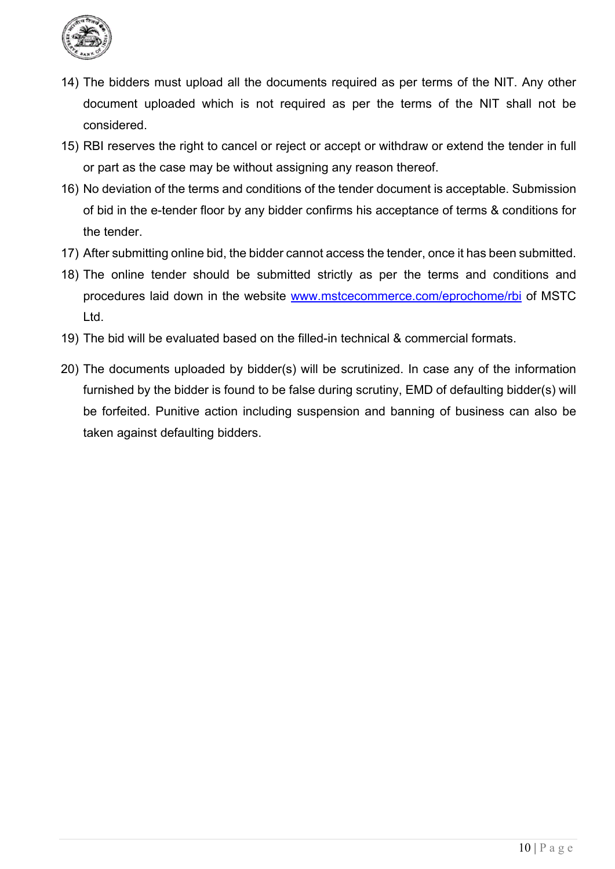

- 14) The bidders must upload all the documents required as per terms of the NIT. Any other document uploaded which is not required as per the terms of the NIT shall not be considered.
- 15) RBI reserves the right to cancel or reject or accept or withdraw or extend the tender in full or part as the case may be without assigning any reason thereof.
- 16) No deviation of the terms and conditions of the tender document is acceptable. Submission of bid in the e-tender floor by any bidder confirms his acceptance of terms & conditions for the tender.
- 17) After submitting online bid, the bidder cannot access the tender, once it has been submitted.
- 18) The online tender should be submitted strictly as per the terms and conditions and procedures laid down in the website [www.mstcecommerce.com/eprochome/rbi](https://www.mstcecommerce.com/eprochome/rbi) of MSTC Ltd.
- 19) The bid will be evaluated based on the filled-in technical & commercial formats.
- 20) The documents uploaded by bidder(s) will be scrutinized. In case any of the information furnished by the bidder is found to be false during scrutiny, EMD of defaulting bidder(s) will be forfeited. Punitive action including suspension and banning of business can also be taken against defaulting bidders.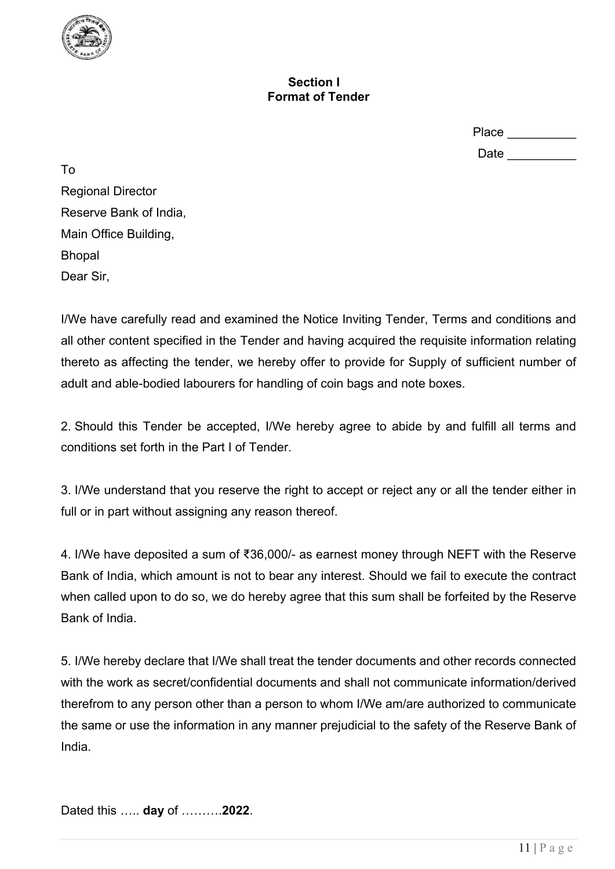

### **Section I Format of Tender**

| Place |  |
|-------|--|
| Date  |  |

To Regional Director Reserve Bank of India, Main Office Building, Bhopal Dear Sir,

I/We have carefully read and examined the Notice Inviting Tender, Terms and conditions and all other content specified in the Tender and having acquired the requisite information relating thereto as affecting the tender, we hereby offer to provide for Supply of sufficient number of adult and able-bodied labourers for handling of coin bags and note boxes.

2. Should this Tender be accepted, I/We hereby agree to abide by and fulfill all terms and conditions set forth in the Part I of Tender.

3. I/We understand that you reserve the right to accept or reject any or all the tender either in full or in part without assigning any reason thereof.

4. I/We have deposited a sum of ₹36,000/- as earnest money through NEFT with the Reserve Bank of India, which amount is not to bear any interest. Should we fail to execute the contract when called upon to do so, we do hereby agree that this sum shall be forfeited by the Reserve Bank of India.

5. I/We hereby declare that I/We shall treat the tender documents and other records connected with the work as secret/confidential documents and shall not communicate information/derived therefrom to any person other than a person to whom I/We am/are authorized to communicate the same or use the information in any manner prejudicial to the safety of the Reserve Bank of India.

Dated this ….. **day** of ……….**2022**.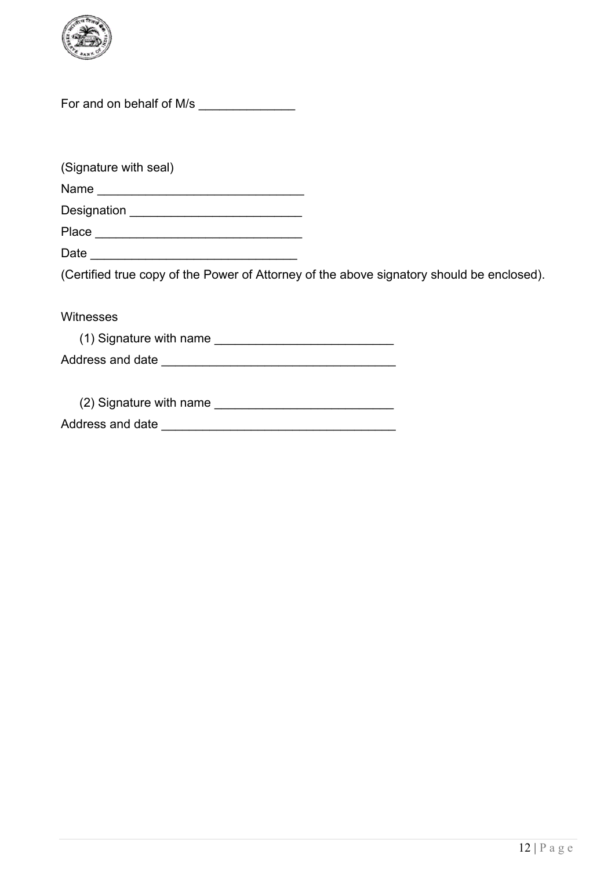

For and on behalf of M/s \_\_\_\_\_\_\_\_\_\_\_\_\_\_\_

(Signature with seal) Name \_\_\_\_\_\_\_\_\_\_\_\_\_\_\_\_\_\_\_\_\_\_\_\_\_\_\_\_\_\_ Designation \_\_\_\_\_\_\_\_\_\_\_\_\_\_\_\_\_\_\_\_\_\_\_\_\_ Place \_\_\_\_\_\_\_\_\_\_\_\_\_\_\_\_\_\_\_\_\_\_\_\_\_\_\_\_\_\_ Date \_\_\_\_\_\_\_\_\_\_\_\_\_\_\_\_\_\_\_\_\_\_\_\_\_\_\_\_\_\_ (Certified true copy of the Power of Attorney of the above signatory should be enclosed). Witnesses (1) Signature with name \_\_\_\_\_\_\_\_\_\_\_\_\_\_\_\_\_\_\_\_\_\_\_\_\_\_ Address and date \_\_\_\_\_\_\_\_\_\_\_\_\_\_\_\_\_\_\_\_\_\_\_\_\_\_\_\_\_\_\_\_\_\_ (2) Signature with name \_\_\_\_\_\_\_\_\_\_\_\_\_\_\_\_\_\_\_\_\_\_\_\_\_\_ Address and date **and the set of the set of the set of the set of the set of the set of the set of the set of the set of the set of the set of the set of the set of the set of the set of the set of the set of the set of th**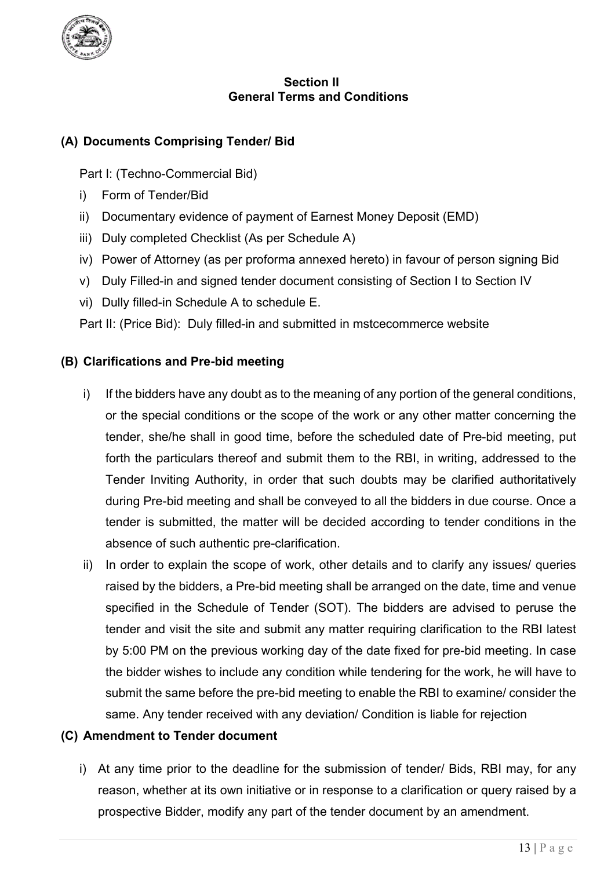

### **Section II General Terms and Conditions**

## **(A) Documents Comprising Tender/ Bid**

Part I: (Techno-Commercial Bid)

- i) Form of Tender/Bid
- ii) Documentary evidence of payment of Earnest Money Deposit (EMD)
- iii) Duly completed Checklist (As per Schedule A)
- iv) Power of Attorney (as per proforma annexed hereto) in favour of person signing Bid
- v) Duly Filled-in and signed tender document consisting of Section I to Section IV
- vi) Dully filled-in Schedule A to schedule E.

Part II: (Price Bid): Duly filled-in and submitted in mstcecommerce website

## **(B) Clarifications and Pre-bid meeting**

- i) If the bidders have any doubt as to the meaning of any portion of the general conditions, or the special conditions or the scope of the work or any other matter concerning the tender, she/he shall in good time, before the scheduled date of Pre-bid meeting, put forth the particulars thereof and submit them to the RBI, in writing, addressed to the Tender Inviting Authority, in order that such doubts may be clarified authoritatively during Pre-bid meeting and shall be conveyed to all the bidders in due course. Once a tender is submitted, the matter will be decided according to tender conditions in the absence of such authentic pre-clarification.
- ii) In order to explain the scope of work, other details and to clarify any issues/ queries raised by the bidders, a Pre-bid meeting shall be arranged on the date, time and venue specified in the Schedule of Tender (SOT). The bidders are advised to peruse the tender and visit the site and submit any matter requiring clarification to the RBI latest by 5:00 PM on the previous working day of the date fixed for pre-bid meeting. In case the bidder wishes to include any condition while tendering for the work, he will have to submit the same before the pre-bid meeting to enable the RBI to examine/ consider the same. Any tender received with any deviation/ Condition is liable for rejection

## **(C) Amendment to Tender document**

i) At any time prior to the deadline for the submission of tender/ Bids, RBI may, for any reason, whether at its own initiative or in response to a clarification or query raised by a prospective Bidder, modify any part of the tender document by an amendment.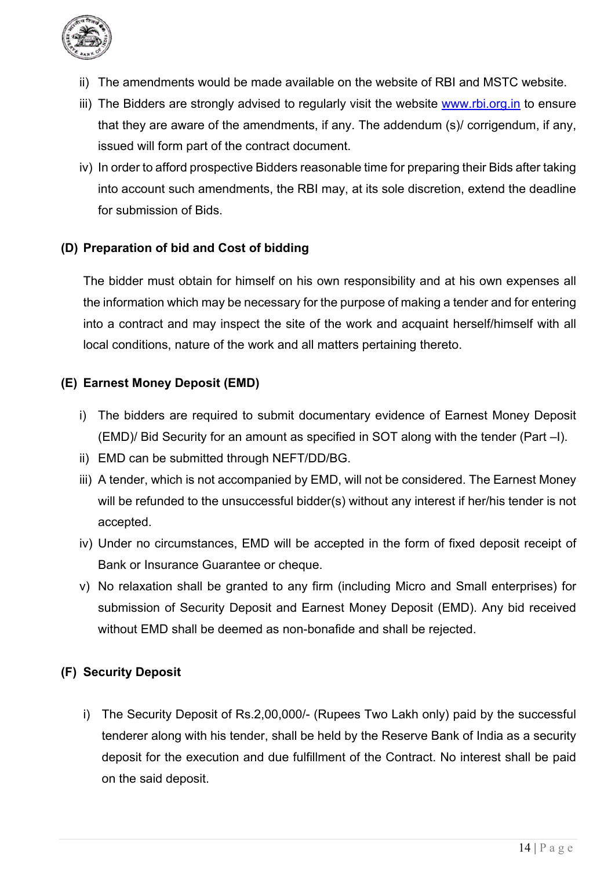

- ii) The amendments would be made available on the website of RBI and MSTC website.
- iii) The Bidders are strongly advised to regularly visit the website www.rbi.org. in to ensure that they are aware of the amendments, if any. The addendum (s)/ corrigendum, if any, issued will form part of the contract document.
- iv) In order to afford prospective Bidders reasonable time for preparing their Bids after taking into account such amendments, the RBI may, at its sole discretion, extend the deadline for submission of Bids.

## **(D) Preparation of bid and Cost of bidding**

The bidder must obtain for himself on his own responsibility and at his own expenses all the information which may be necessary for the purpose of making a tender and for entering into a contract and may inspect the site of the work and acquaint herself/himself with all local conditions, nature of the work and all matters pertaining thereto.

## **(E) Earnest Money Deposit (EMD)**

- i) The bidders are required to submit documentary evidence of Earnest Money Deposit (EMD)/ Bid Security for an amount as specified in SOT along with the tender (Part –I).
- ii) EMD can be submitted through NEFT/DD/BG.
- iii) A tender, which is not accompanied by EMD, will not be considered. The Earnest Money will be refunded to the unsuccessful bidder(s) without any interest if her/his tender is not accepted.
- iv) Under no circumstances, EMD will be accepted in the form of fixed deposit receipt of Bank or Insurance Guarantee or cheque.
- v) No relaxation shall be granted to any firm (including Micro and Small enterprises) for submission of Security Deposit and Earnest Money Deposit (EMD). Any bid received without EMD shall be deemed as non-bonafide and shall be rejected.

## **(F) Security Deposit**

i) The Security Deposit of Rs.2,00,000/- (Rupees Two Lakh only) paid by the successful tenderer along with his tender, shall be held by the Reserve Bank of India as a security deposit for the execution and due fulfillment of the Contract. No interest shall be paid on the said deposit.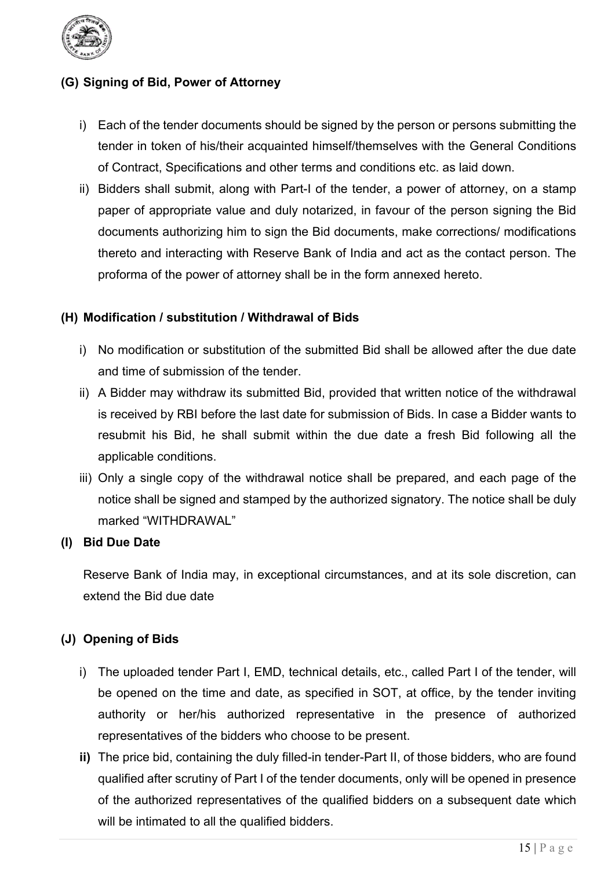

## **(G) Signing of Bid, Power of Attorney**

- i) Each of the tender documents should be signed by the person or persons submitting the tender in token of his/their acquainted himself/themselves with the General Conditions of Contract, Specifications and other terms and conditions etc. as laid down.
- ii) Bidders shall submit, along with Part-I of the tender, a power of attorney, on a stamp paper of appropriate value and duly notarized, in favour of the person signing the Bid documents authorizing him to sign the Bid documents, make corrections/ modifications thereto and interacting with Reserve Bank of India and act as the contact person. The proforma of the power of attorney shall be in the form annexed hereto.

#### **(H) Modification / substitution / Withdrawal of Bids**

- i) No modification or substitution of the submitted Bid shall be allowed after the due date and time of submission of the tender.
- ii) A Bidder may withdraw its submitted Bid, provided that written notice of the withdrawal is received by RBI before the last date for submission of Bids. In case a Bidder wants to resubmit his Bid, he shall submit within the due date a fresh Bid following all the applicable conditions.
- iii) Only a single copy of the withdrawal notice shall be prepared, and each page of the notice shall be signed and stamped by the authorized signatory. The notice shall be duly marked "WITHDRAWAL"

#### **(I) Bid Due Date**

Reserve Bank of India may, in exceptional circumstances, and at its sole discretion, can extend the Bid due date

## **(J) Opening of Bids**

- i) The uploaded tender Part I, EMD, technical details, etc., called Part I of the tender, will be opened on the time and date, as specified in SOT, at office, by the tender inviting authority or her/his authorized representative in the presence of authorized representatives of the bidders who choose to be present.
- **ii)** The price bid, containing the duly filled-in tender-Part II, of those bidders, who are found qualified after scrutiny of Part I of the tender documents, only will be opened in presence of the authorized representatives of the qualified bidders on a subsequent date which will be intimated to all the qualified bidders.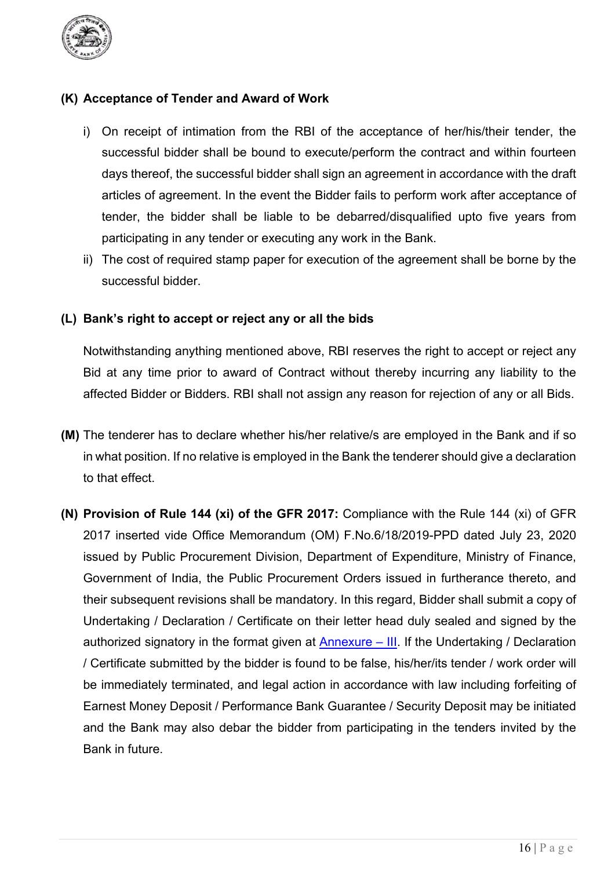

### **(K) Acceptance of Tender and Award of Work**

- i) On receipt of intimation from the RBI of the acceptance of her/his/their tender, the successful bidder shall be bound to execute/perform the contract and within fourteen days thereof, the successful bidder shall sign an agreement in accordance with the draft articles of agreement. In the event the Bidder fails to perform work after acceptance of tender, the bidder shall be liable to be debarred/disqualified upto five years from participating in any tender or executing any work in the Bank.
- ii) The cost of required stamp paper for execution of the agreement shall be borne by the successful bidder.

#### **(L) Bank's right to accept or reject any or all the bids**

Notwithstanding anything mentioned above, RBI reserves the right to accept or reject any Bid at any time prior to award of Contract without thereby incurring any liability to the affected Bidder or Bidders. RBI shall not assign any reason for rejection of any or all Bids.

- **(M)** The tenderer has to declare whether his/her relative/s are employed in the Bank and if so in what position. If no relative is employed in the Bank the tenderer should give a declaration to that effect.
- **(N) Provision of Rule 144 (xi) of the GFR 2017:** Compliance with the Rule 144 (xi) of GFR 2017 inserted vide Office Memorandum (OM) F.No.6/18/2019-PPD dated July 23, 2020 issued by Public Procurement Division, Department of Expenditure, Ministry of Finance, Government of India, the Public Procurement Orders issued in furtherance thereto, and their subsequent revisions shall be mandatory. In this regard, Bidder shall submit a copy of Undertaking / Declaration / Certificate on their letter head duly sealed and signed by the authorized signatory in the format given at  $\Delta n$ nexure – III. If the Undertaking / Declaration / Certificate submitted by the bidder is found to be false, his/her/its tender / work order will be immediately terminated, and legal action in accordance with law including forfeiting of Earnest Money Deposit / Performance Bank Guarantee / Security Deposit may be initiated and the Bank may also debar the bidder from participating in the tenders invited by the Bank in future.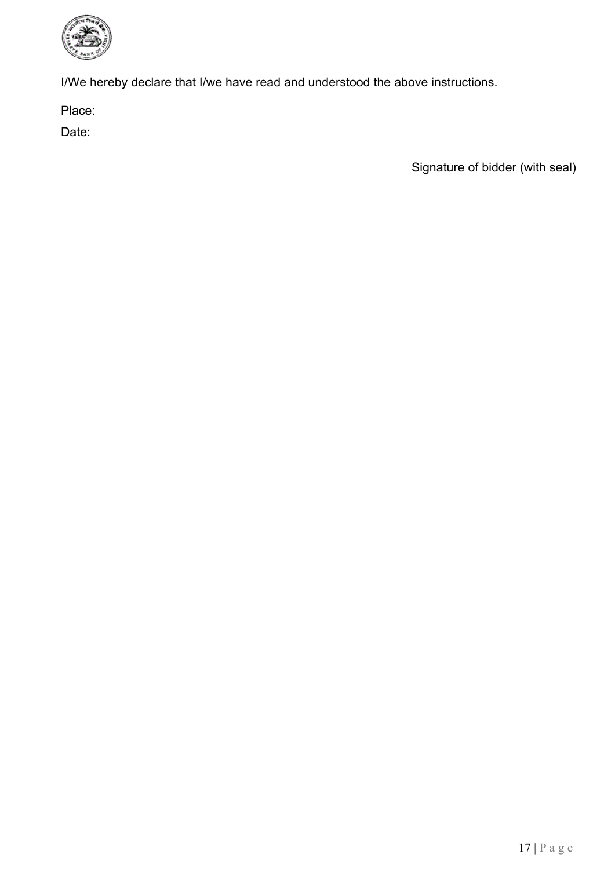

I/We hereby declare that I/we have read and understood the above instructions.

Place:

Date: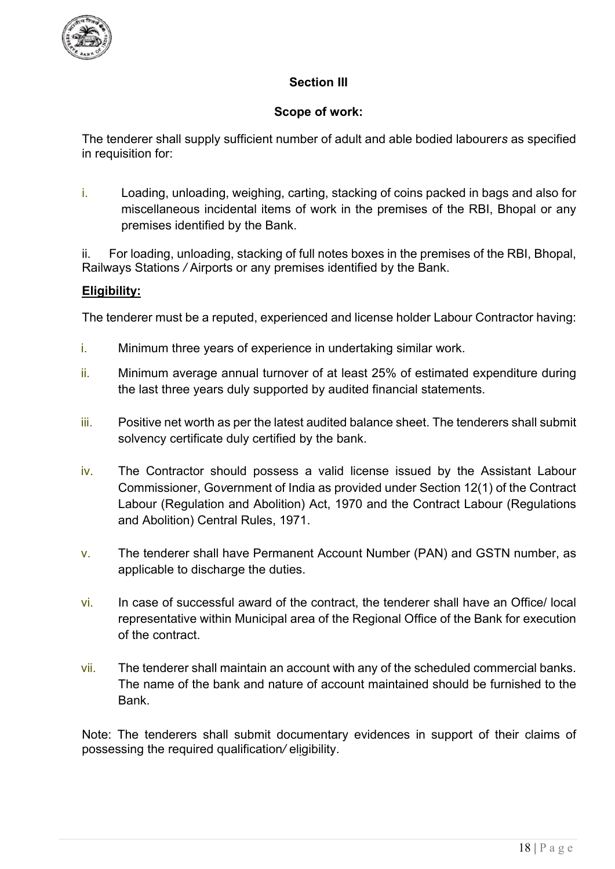

## **Section III**

## **Scope of work:**

The tenderer shall supply sufficient number of adult and able bodied labourer*s* as specified in requisition for:

i. Loading, unloading, weighing, carting, stacking of coins packed in bags and also for miscellaneous incidental items of work in the premises of the RBI, Bhopal or any premises identified by the Bank.

ii. For loading, unloading, stacking of full notes boxes in the premises of the RBI, Bhopal, Railways Stations */* Airports or any premises identified by the Bank.

#### **Eligibility:**

The tenderer must be a reputed, experienced and license holder Labour Contractor having:

- i. Minimum three years of experience in undertaking similar work.
- ii. Minimum average annual turnover of at least 25% of estimated expenditure during the last three years duly supported by audited financial statements.
- iii. Positive net worth as per the latest audited balance sheet. The tenderers shall submit solvency certificate duly certified by the bank.
- iv. The Contractor should possess a valid license issued by the Assistant Labour Commissioner, Go*v*ernment of India as provided under Section 12(1) of the Contract Labour (Regulation and Abolition) Act, 1970 and the Contract Labour (Regulations and Abolition) Central Rules, 1971.
- v. The tenderer shall have Permanent Account Number (PAN) and GSTN number, as applicable to discharge the duties.
- vi. In case of successful award of the contract, the tenderer shall have an Office/ local representative within Municipal area of the Regional Office of the Bank for execution of the contract.
- vii. The tenderer shall maintain an account with any of the scheduled commercial banks. The name of the bank and nature of account maintained should be furnished to the **Bank**

Note: The tenderers shall submit documentary evidences in support of their claims of possessing the required qualification*/* eligibility.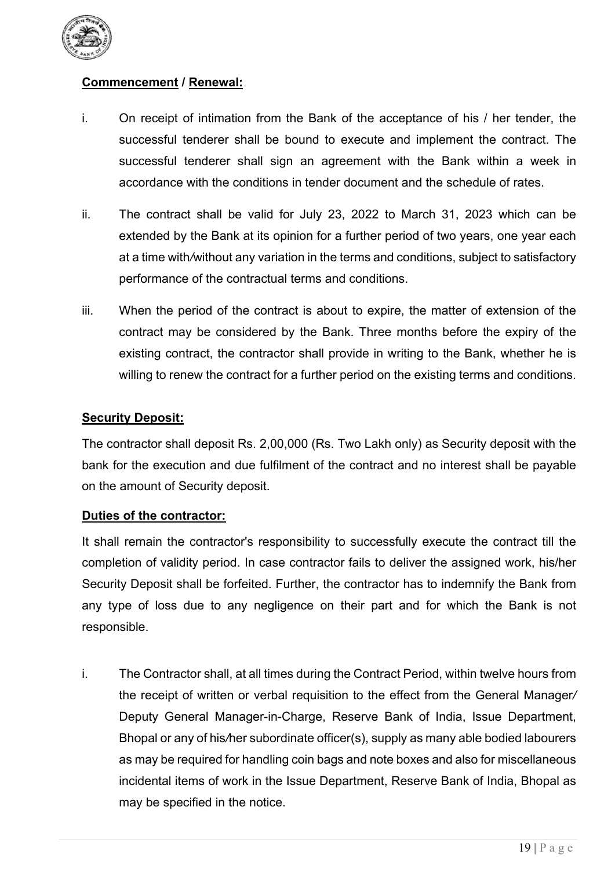

## **Commencement / Renewal:**

- i. On receipt of intimation from the Bank of the acceptance of his / her tender, the successful tenderer shall be bound to execute and implement the contract. The successful tenderer shall sign an agreement with the Bank within a week in accordance with the conditions in tender document and the schedule of rates.
- ii. The contract shall be valid for July 23, 2022 to March 31, 2023 which can be extended by the Bank at its opinion for a further period of two years, one year each at a time with*/*without any variation in the terms and conditions, subject to satisfactory performance of the contractual terms and conditions.
- iii. When the period of the contract is about to expire, the matter of extension of the contract may be considered by the Bank. Three months before the expiry of the existing contract, the contractor shall provide in writing to the Bank, whether he is willing to renew the contract for a further period on the existing terms and conditions.

#### **Security Deposit:**

The contractor shall deposit Rs. 2,00,000 (Rs. Two Lakh only) as Security deposit with the bank for the execution and due fulfilment of the contract and no interest shall be payable on the amount of Security deposit.

#### **Duties of the contractor:**

It shall remain the contractor's responsibility to successfully execute the contract till the completion of validity period. In case contractor fails to deliver the assigned work, his/her Security Deposit shall be forfeited. Further, the contractor has to indemnify the Bank from any type of loss due to any negligence on their part and for which the Bank is not responsible.

i. The Contractor shall, at all times during the Contract Period, within twelve hours from the receipt of written or verbal requisition to the effect from the General Manager*/*  Deputy General Manager-in-Charge, Reserve Bank of India, Issue Department, Bhopal or any of his*/*her subordinate officer(s), supply as many able bodied labourers as may be required for handling coin bags and note boxes and also for miscellaneous incidental items of work in the Issue Department, Reserve Bank of India, Bhopal as may be specified in the notice.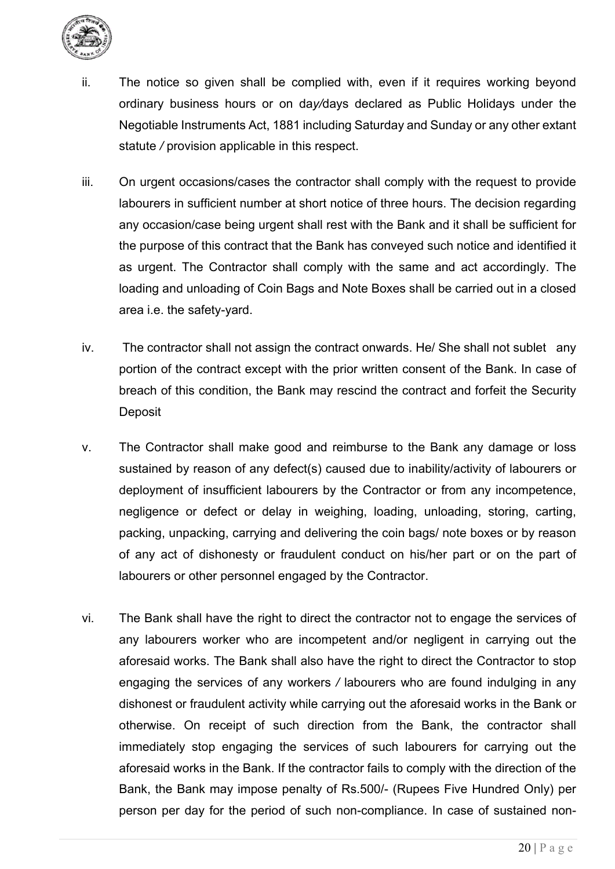

- ii. The notice so given shall be complied with, even if it requires working beyond ordinary business hours or on da*y/*days declared as Public Holidays under the Negotiable Instruments Act, 1881 including Saturday and Sunday or any other extant statute */* provision applicable in this respect.
- iii. On urgent occasions/cases the contractor shall comply with the request to provide labourers in sufficient number at short notice of three hours. The decision regarding any occasion/case being urgent shall rest with the Bank and it shall be sufficient for the purpose of this contract that the Bank has conveyed such notice and identified it as urgent. The Contractor shall comply with the same and act accordingly. The loading and unloading of Coin Bags and Note Boxes shall be carried out in a closed area i.e. the safety-yard.
- iv. The contractor shall not assign the contract onwards. He/ She shall not sublet any portion of the contract except with the prior written consent of the Bank. In case of breach of this condition, the Bank may rescind the contract and forfeit the Security **Deposit**
- v. The Contractor shall make good and reimburse to the Bank any damage or loss sustained by reason of any defect(s) caused due to inability/activity of labourers or deployment of insufficient labourers by the Contractor or from any incompetence, negligence or defect or delay in weighing, loading, unloading, storing, carting, packing, unpacking, carrying and delivering the coin bags/ note boxes or by reason of any act of dishonesty or fraudulent conduct on his/her part or on the part of labourers or other personnel engaged by the Contractor.
- vi. The Bank shall have the right to direct the contractor not to engage the services of any labourers worker who are incompetent and/or negligent in carrying out the aforesaid works. The Bank shall also have the right to direct the Contractor to stop engaging the services of any workers */* labourers who are found indulging in any dishonest or fraudulent activity while carrying out the aforesaid works in the Bank or otherwise. On receipt of such direction from the Bank, the contractor shall immediately stop engaging the services of such labourers for carrying out the aforesaid works in the Bank. If the contractor fails to comply with the direction of the Bank, the Bank may impose penalty of Rs.500/- (Rupees Five Hundred Only) per person per day for the period of such non-compliance. In case of sustained non-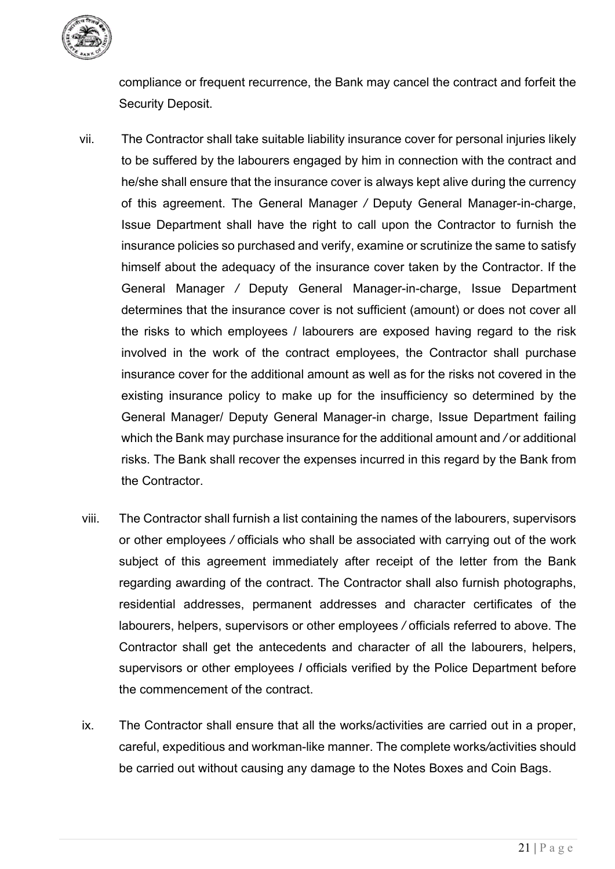

compliance or frequent recurrence, the Bank may cancel the contract and forfeit the Security Deposit.

- vii. The Contractor shall take suitable liability insurance cover for personal injuries likely to be suffered by the labourers engaged by him in connection with the contract and he/she shall ensure that the insurance cover is always kept alive during the currency of this agreement. The General Manager */* Deputy General Manager-in-charge, Issue Department shall have the right to call upon the Contractor to furnish the insurance policies so purchased and verify, examine or scrutinize the same to satisfy himself about the adequacy of the insurance cover taken by the Contractor. If the General Manager */* Deputy General Manager-in-charge, Issue Department determines that the insurance cover is not sufficient (amount) or does not cover all the risks to which employees / labourers are exposed having regard to the risk involved in the work of the contract employees, the Contractor shall purchase insurance cover for the additional amount as well as for the risks not covered in the existing insurance policy to make up for the insufficiency so determined by the General Manager/ Deputy General Manager-in charge, Issue Department failing which the Bank may purchase insurance for the additional amount and */* or additional risks. The Bank shall recover the expenses incurred in this regard by the Bank from the Contractor.
- viii. The Contractor shall furnish a list containing the names of the labourers, supervisors or other employees */* officials who shall be associated with carrying out of the work subject of this agreement immediately after receipt of the letter from the Bank regarding awarding of the contract. The Contractor shall also furnish photographs, residential addresses, permanent addresses and character certificates of the labourers, helpers, supervisors or other employees */* officials referred to above. The Contractor shall get the antecedents and character of all the labourers, helpers, supervisors or other employees *I* officials verified by the Police Department before the commencement of the contract.
- ix. The Contractor shall ensure that all the works/activities are carried out in a proper, careful, expeditious and workman-like manner. The complete works*/*activities should be carried out without causing any damage to the Notes Boxes and Coin Bags.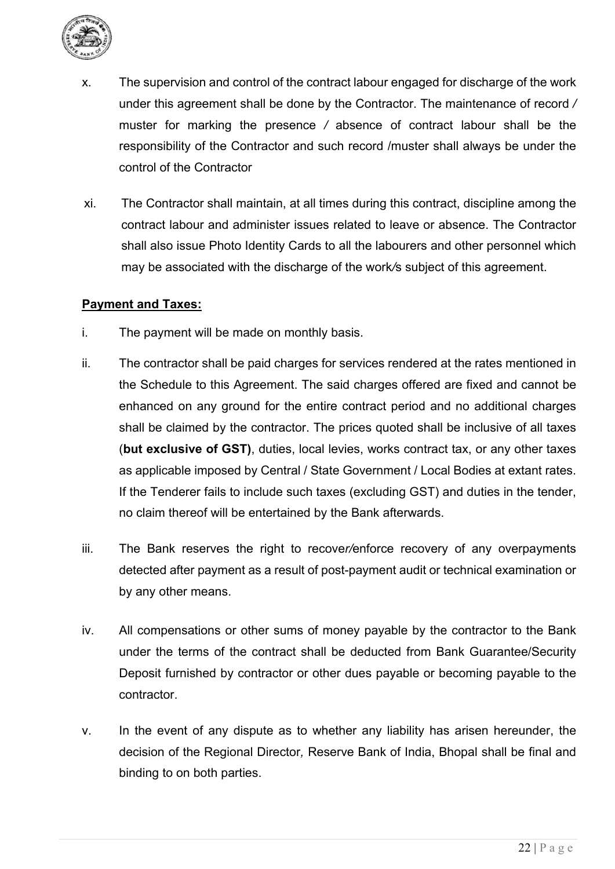

- x. The supervision and control of the contract labour engaged for discharge of the work under this agreement shall be done by the Contractor. The maintenance of record */*  muster for marking the presence */* absence of contract labour shall be the responsibility of the Contractor and such record /muster shall always be under the control of the Contractor
- xi. The Contractor shall maintain, at all times during this contract, discipline among the contract labour and administer issues related to leave or absence. The Contractor shall also issue Photo Identity Cards to all the labourers and other personnel which may be associated with the discharge of the work*/*s subject of this agreement.

#### **Payment and Taxes:**

- i. The payment will be made on monthly basis.
- ii. The contractor shall be paid charges for services rendered at the rates mentioned in the Schedule to this Agreement. The said charges offered are fixed and cannot be enhanced on any ground for the entire contract period and no additional charges shall be claimed by the contractor. The prices quoted shall be inclusive of all taxes (**but exclusive of GST)**, duties, local levies, works contract tax, or any other taxes as applicable imposed by Central / State Government / Local Bodies at extant rates. If the Tenderer fails to include such taxes (excluding GST) and duties in the tender, no claim thereof will be entertained by the Bank afterwards.
- iii. The Bank reserves the right to recove*r/*enforce recovery of any overpayments detected after payment as a result of post-payment audit or technical examination or by any other means.
- iv. All compensations or other sums of money payable by the contractor to the Bank under the terms of the contract shall be deducted from Bank Guarantee/Security Deposit furnished by contractor or other dues payable or becoming payable to the contractor.
- v. In the event of any dispute as to whether any liability has arisen hereunder, the decision of the Regional Director*,* Reserve Bank of India, Bhopal shall be final and binding to on both parties.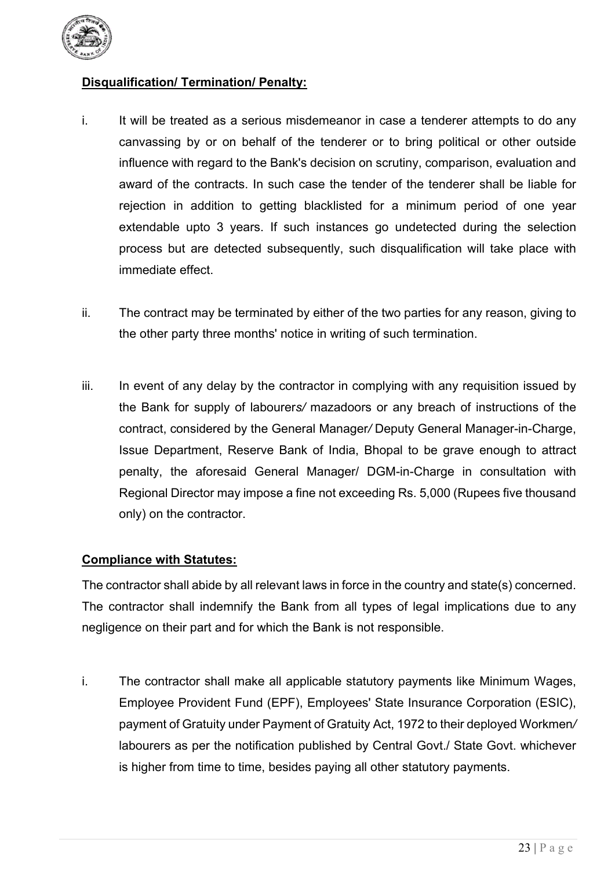

## **Disqualification/ Termination/ Penalty:**

- i. It will be treated as a serious misdemeanor in case a tenderer attempts to do any canvassing by or on behalf of the tenderer or to bring political or other outside influence with regard to the Bank's decision on scrutiny, comparison, evaluation and award of the contracts. In such case the tender of the tenderer shall be liable for rejection in addition to getting blacklisted for a minimum period of one year extendable upto 3 years. If such instances go undetected during the selection process but are detected subsequently, such disqualification will take place with immediate effect.
- ii. The contract may be terminated by either of the two parties for any reason, giving to the other party three months' notice in writing of such termination.
- iii. In event of any delay by the contractor in complying with any requisition issued by the Bank for supply of labourer*s/* mazadoors or any breach of instructions of the contract, considered by the General Manager*/* Deputy General Manager-in-Charge, Issue Department, Reserve Bank of India, Bhopal to be grave enough to attract penalty, the aforesaid General Manager/ DGM-in-Charge in consultation with Regional Director may impose a fine not exceeding Rs. 5,000 (Rupees five thousand only) on the contractor.

## **Compliance with Statutes:**

The contractor shall abide by all relevant laws in force in the country and state(s) concerned. The contractor shall indemnify the Bank from all types of legal implications due to any negligence on their part and for which the Bank is not responsible.

i. The contractor shall make all applicable statutory payments like Minimum Wages, Employee Provident Fund (EPF), Employees' State Insurance Corporation (ESIC), payment of Gratuity under Payment of Gratuity Act, 1972 to their deployed Workmen*/*  labourers as per the notification published by Central Govt./ State Govt. whichever is higher from time to time, besides paying all other statutory payments.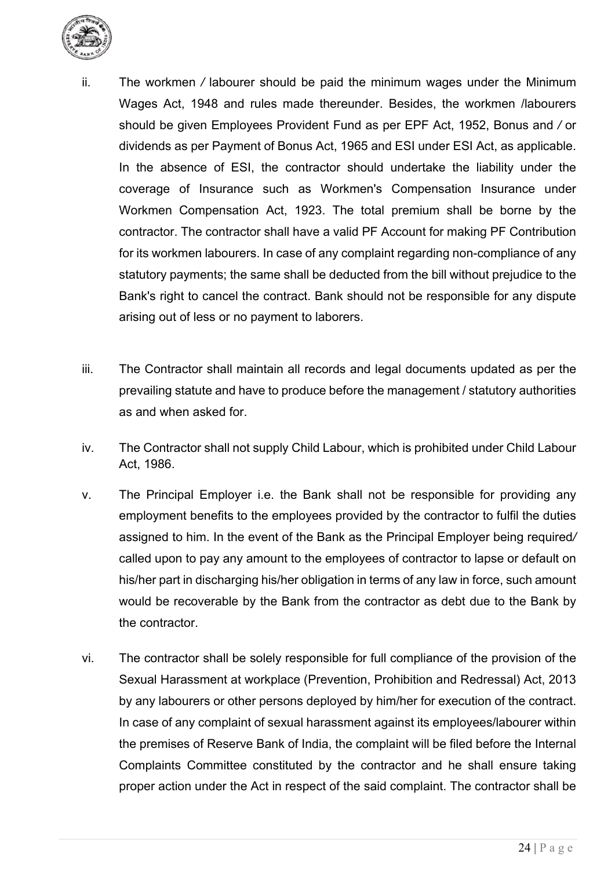

- ii. The workmen */* labourer should be paid the minimum wages under the Minimum Wages Act, 1948 and rules made thereunder. Besides, the workmen /labourers should be given Employees Provident Fund as per EPF Act, 1952, Bonus and */* or dividends as per Payment of Bonus Act, 1965 and ESI under ESI Act, as applicable. In the absence of ESI, the contractor should undertake the liability under the coverage of Insurance such as Workmen's Compensation Insurance under Workmen Compensation Act, 1923. The total premium shall be borne by the contractor. The contractor shall have a valid PF Account for making PF Contribution for its workmen labourers. In case of any complaint regarding non-compliance of any statutory payments; the same shall be deducted from the bill without prejudice to the Bank's right to cancel the contract. Bank should not be responsible for any dispute arising out of less or no payment to laborers.
- iii. The Contractor shall maintain all records and legal documents updated as per the prevailing statute and have to produce before the management / statutory authorities as and when asked for.
- iv. The Contractor shall not supply Child Labour, which is prohibited under Child Labour Act, 1986.
- v. The Principal Employer i.e. the Bank shall not be responsible for providing any employment benefits to the employees provided by the contractor to fulfil the duties assigned to him. In the event of the Bank as the Principal Employer being required*/*  called upon to pay any amount to the employees of contractor to lapse or default on his/her part in discharging his/her obligation in terms of any law in force, such amount would be recoverable by the Bank from the contractor as debt due to the Bank by the contractor.
- vi. The contractor shall be solely responsible for full compliance of the provision of the Sexual Harassment at workplace (Prevention, Prohibition and Redressal) Act, 2013 by any labourers or other persons deployed by him/her for execution of the contract. In case of any complaint of sexual harassment against its employees/labourer within the premises of Reserve Bank of India, the complaint will be filed before the Internal Complaints Committee constituted by the contractor and he shall ensure taking proper action under the Act in respect of the said complaint. The contractor shall be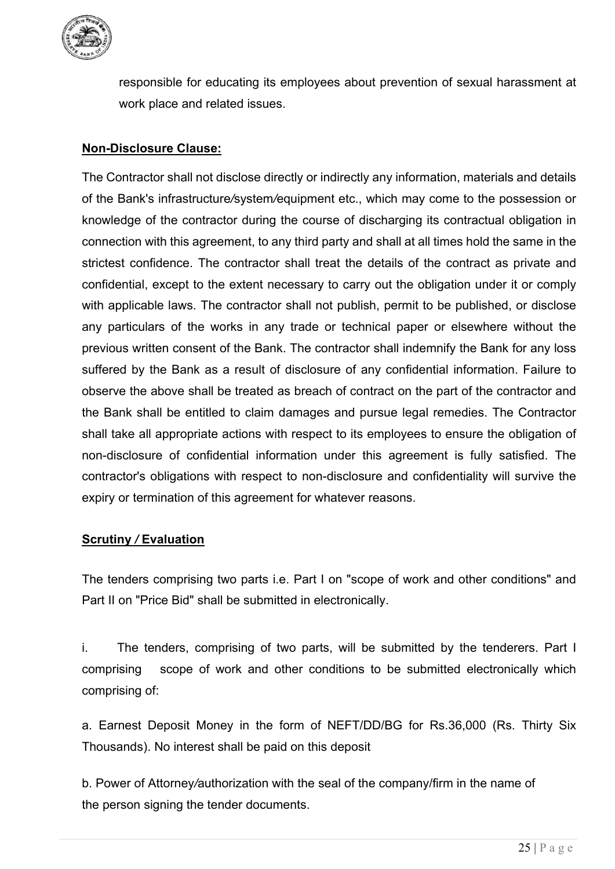

responsible for educating its employees about prevention of sexual harassment at work place and related issues.

## **Non-Disclosure Clause:**

The Contractor shall not disclose directly or indirectly any information, materials and details of the Bank's infrastructure*/*system*/*equipment etc., which may come to the possession or knowledge of the contractor during the course of discharging its contractual obligation in connection with this agreement, to any third party and shall at all times hold the same in the strictest confidence. The contractor shall treat the details of the contract as private and confidential, except to the extent necessary to carry out the obligation under it or comply with applicable laws. The contractor shall not publish, permit to be published, or disclose any particulars of the works in any trade or technical paper or elsewhere without the previous written consent of the Bank. The contractor shall indemnify the Bank for any loss suffered by the Bank as a result of disclosure of any confidential information. Failure to observe the above shall be treated as breach of contract on the part of the contractor and the Bank shall be entitled to claim damages and pursue legal remedies. The Contractor shall take all appropriate actions with respect to its employees to ensure the obligation of non-disclosure of confidential information under this agreement is fully satisfied. The contractor's obligations with respect to non-disclosure and confidentiality will survive the expiry or termination of this agreement for whatever reasons.

## **Scrutiny** */* **Evaluation**

The tenders comprising two parts i.e. Part I on "scope of work and other conditions" and Part II on "Price Bid" shall be submitted in electronically.

i. The tenders, comprising of two parts, will be submitted by the tenderers. Part I comprising scope of work and other conditions to be submitted electronically which comprising of:

a. Earnest Deposit Money in the form of NEFT/DD/BG for Rs.36,000 (Rs. Thirty Six Thousands). No interest shall be paid on this deposit

b. Power of Attorney*/*authorization with the seal of the company/firm in the name of the person signing the tender documents.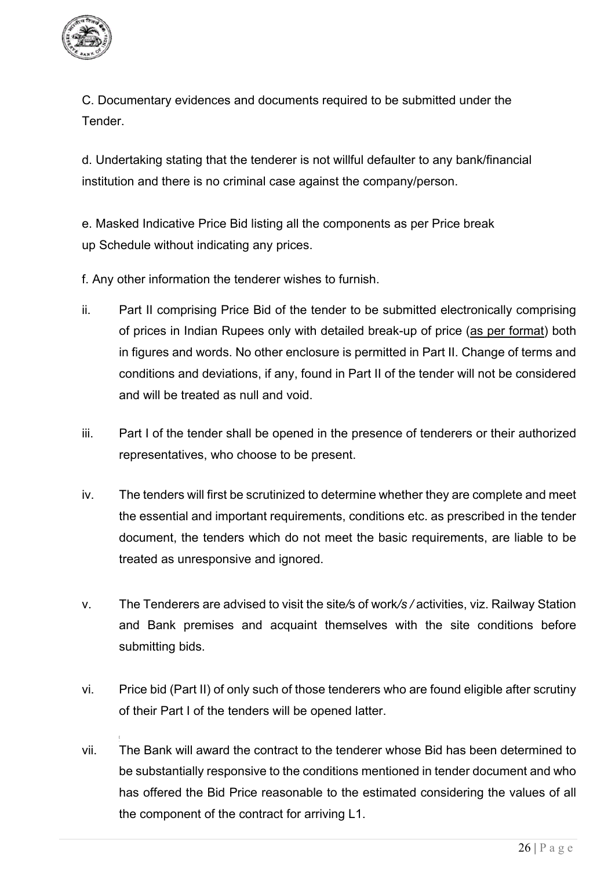

C. Documentary evidences and documents required to be submitted under the **Tender** 

d. Undertaking stating that the tenderer is not willful defaulter to any bank/financial institution and there is no criminal case against the company/person.

e. Masked Indicative Price Bid listing all the components as per Price break up Schedule without indicating any prices.

f. Any other information the tenderer wishes to furnish.

- ii. Part II comprising Price Bid of the tender to be submitted electronically comprising of prices in Indian Rupees only with detailed break-up of price (as per format) both in figures and words. No other enclosure is permitted in Part II. Change of terms and conditions and deviations, if any, found in Part II of the tender will not be considered and will be treated as null and void.
- iii. Part I of the tender shall be opened in the presence of tenderers or their authorized representatives, who choose to be present.
- iv. The tenders will first be scrutinized to determine whether they are complete and meet the essential and important requirements, conditions etc. as prescribed in the tender document, the tenders which do not meet the basic requirements, are liable to be treated as unresponsive and ignored.
- v. The Tenderers are advised to visit the site*/*s of work*/s /* activities, viz. Railway Station and Bank premises and acquaint themselves with the site conditions before submitting bids.
- vi. Price bid (Part II) of only such of those tenderers who are found eligible after scrutiny of their Part I of the tenders will be opened latter.
- vii. The Bank will award the contract to the tenderer whose Bid has been determined to be substantially responsive to the conditions mentioned in tender document and who has offered the Bid Price reasonable to the estimated considering the values of all the component of the contract for arriving L1.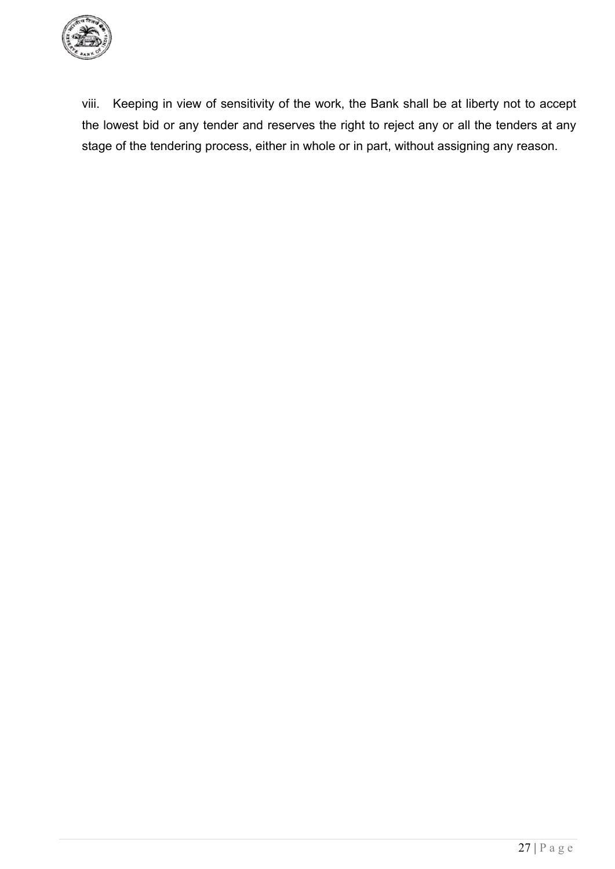

viii. Keeping in view of sensitivity of the work, the Bank shall be at liberty not to accept the lowest bid or any tender and reserves the right to reject any or all the tenders at any stage of the tendering process, either in whole or in part, without assigning any reason.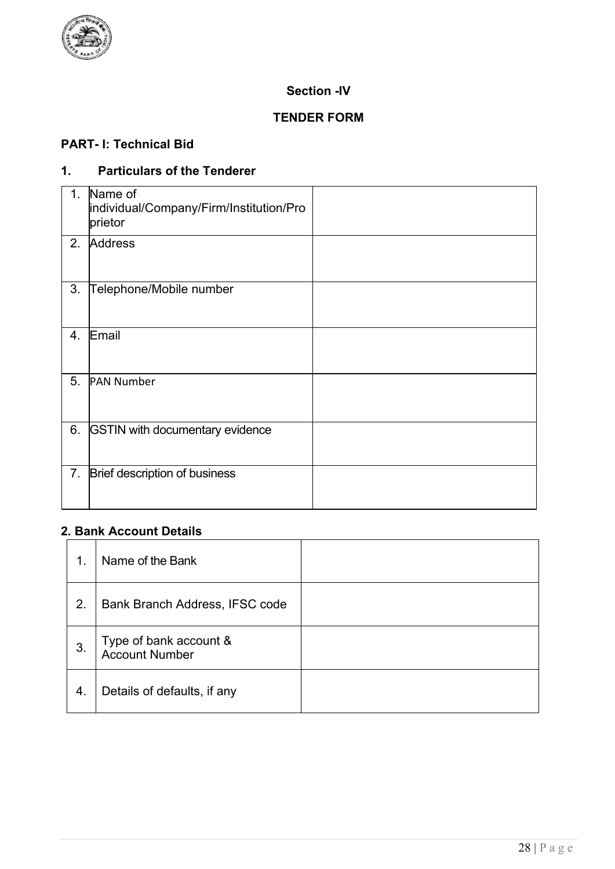

## **Section -IV**

## **TENDER FORM**

## **PART- I: Technical Bid**

## **1. Particulars of the Tenderer**

| 1 <sub>1</sub>   | Name of<br>individual/Company/Firm/Institution/Pro<br>prietor |  |
|------------------|---------------------------------------------------------------|--|
| 2.               | <b>Address</b>                                                |  |
| 3.               | Telephone/Mobile number                                       |  |
| $\overline{4}$ . | Email                                                         |  |
| 5.               | <b>PAN Number</b>                                             |  |
| 6.               | <b>GSTIN with documentary evidence</b>                        |  |
| 7 <sub>1</sub>   | Brief description of business                                 |  |

## **2. Bank Account Details**

| 1. | Name of the Bank                         |  |
|----|------------------------------------------|--|
| 2. | Bank Branch Address, IFSC code           |  |
| 3. | Type of bank account &<br>Account Number |  |
| 4. | Details of defaults, if any              |  |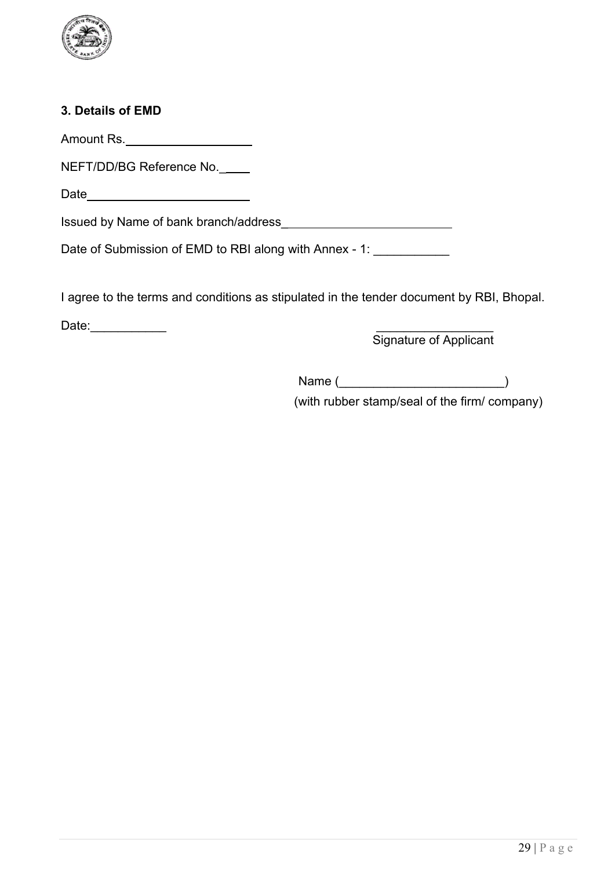

## **3. Details of EMD**

Amount Rs.

NEFT/DD/BG Reference No.\_

Date

Issued by Name of bank branch/address\_

Date of Submission of EMD to RBI along with Annex - 1: \_\_\_\_\_\_\_\_\_\_\_\_

I agree to the terms and conditions as stipulated in the tender document by RBI, Bhopal.

Date:\_\_\_\_\_\_\_\_\_\_\_ \_\_\_\_\_\_\_\_\_\_\_\_\_\_\_\_\_

Signature of Applicant

Name  $($ 

(with rubber stamp/seal of the firm/ company)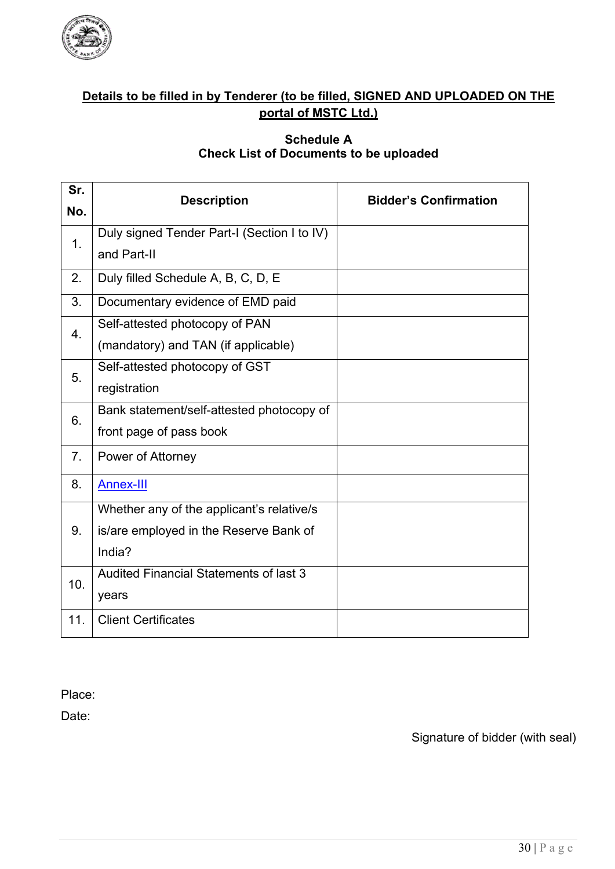

## **Details to be filled in by Tenderer (to be filled, SIGNED AND UPLOADED ON THE portal of MSTC Ltd.)**

#### **Schedule A Check List of Documents to be uploaded**

|                                               | <b>Bidder's Confirmation</b> |  |  |
|-----------------------------------------------|------------------------------|--|--|
|                                               |                              |  |  |
| Duly signed Tender Part-I (Section I to IV)   |                              |  |  |
| and Part-II                                   |                              |  |  |
| Duly filled Schedule A, B, C, D, E            |                              |  |  |
| Documentary evidence of EMD paid              |                              |  |  |
| Self-attested photocopy of PAN                |                              |  |  |
| (mandatory) and TAN (if applicable)           |                              |  |  |
| Self-attested photocopy of GST                |                              |  |  |
| registration                                  |                              |  |  |
| Bank statement/self-attested photocopy of     |                              |  |  |
| front page of pass book                       |                              |  |  |
| Power of Attorney                             |                              |  |  |
| <b>Annex-III</b>                              |                              |  |  |
| Whether any of the applicant's relative/s     |                              |  |  |
| is/are employed in the Reserve Bank of        |                              |  |  |
| India?                                        |                              |  |  |
| <b>Audited Financial Statements of last 3</b> |                              |  |  |
| years                                         |                              |  |  |
| <b>Client Certificates</b>                    |                              |  |  |
|                                               | <b>Description</b>           |  |  |

Place:

Date: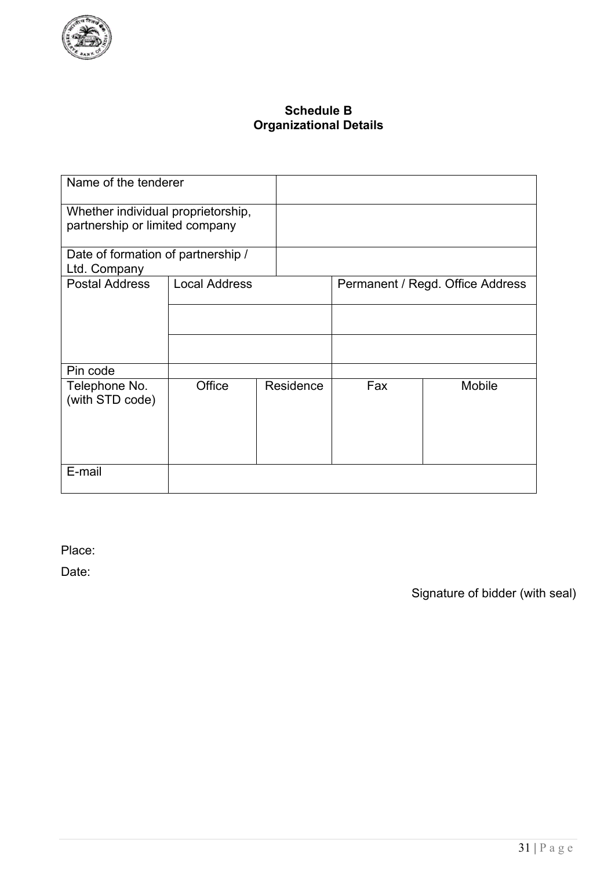

## **Schedule B Organizational Details**

| Name of the tenderer                                                 |                      |           |     |                                  |
|----------------------------------------------------------------------|----------------------|-----------|-----|----------------------------------|
| Whether individual proprietorship,<br>partnership or limited company |                      |           |     |                                  |
| Date of formation of partnership /<br>Ltd. Company                   |                      |           |     |                                  |
| <b>Postal Address</b>                                                | <b>Local Address</b> |           |     | Permanent / Regd. Office Address |
|                                                                      |                      |           |     |                                  |
|                                                                      |                      |           |     |                                  |
| Pin code                                                             |                      |           |     |                                  |
| Telephone No.<br>(with STD code)                                     | Office               | Residence | Fax | Mobile                           |
| E-mail                                                               |                      |           |     |                                  |

Place:

Date: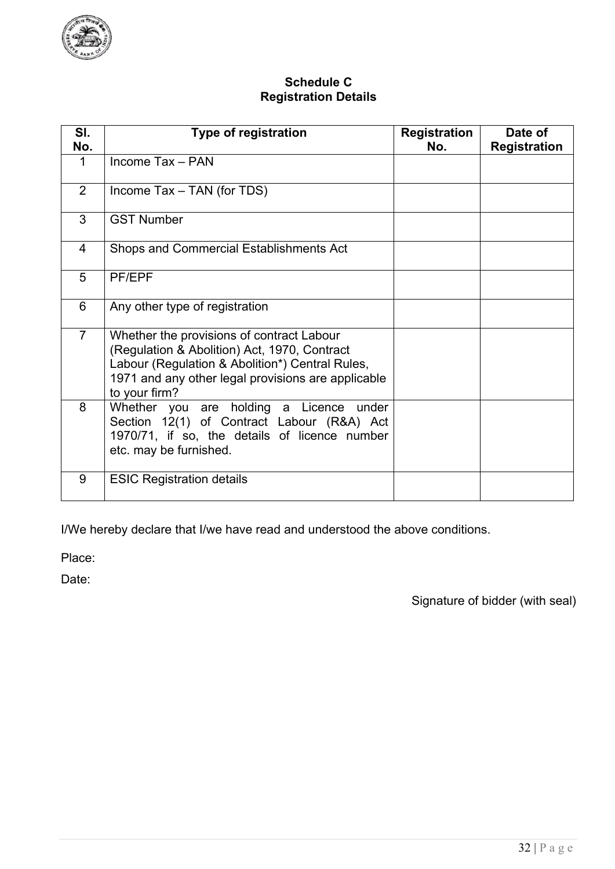

### **Schedule C Registration Details**

| SI.<br>No.     | <b>Type of registration</b>                                                                                                                                                                                         | <b>Registration</b><br>No. | Date of<br><b>Registration</b> |
|----------------|---------------------------------------------------------------------------------------------------------------------------------------------------------------------------------------------------------------------|----------------------------|--------------------------------|
| 1              | Income Tax - PAN                                                                                                                                                                                                    |                            |                                |
| 2              | Income Tax - TAN (for TDS)                                                                                                                                                                                          |                            |                                |
| 3              | <b>GST Number</b>                                                                                                                                                                                                   |                            |                                |
| $\overline{4}$ | Shops and Commercial Establishments Act                                                                                                                                                                             |                            |                                |
| 5              | PF/EPF                                                                                                                                                                                                              |                            |                                |
| 6              | Any other type of registration                                                                                                                                                                                      |                            |                                |
| $\overline{7}$ | Whether the provisions of contract Labour<br>(Regulation & Abolition) Act, 1970, Contract<br>Labour (Regulation & Abolition*) Central Rules,<br>1971 and any other legal provisions are applicable<br>to your firm? |                            |                                |
| 8              | Whether you are holding a Licence under<br>Section 12(1) of Contract Labour (R&A) Act<br>1970/71, if so, the details of licence number<br>etc. may be furnished.                                                    |                            |                                |
| 9              | <b>ESIC Registration details</b>                                                                                                                                                                                    |                            |                                |

I/We hereby declare that I/we have read and understood the above conditions.

Place:

Date: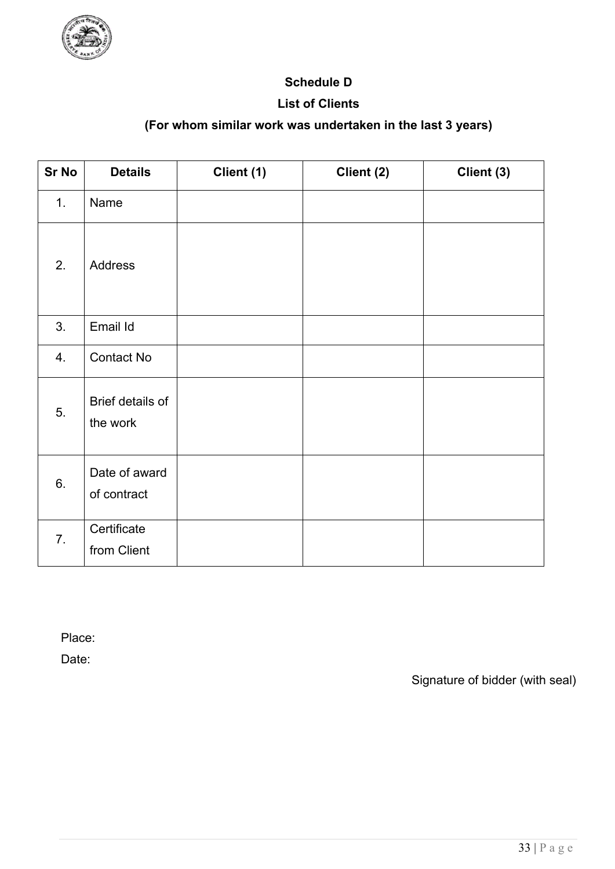

## **Schedule D**

## **List of Clients**

## **(For whom similar work was undertaken in the last 3 years)**

| <b>Sr No</b> | <b>Details</b>               | Client (1) | Client (2) | Client (3) |
|--------------|------------------------------|------------|------------|------------|
| 1.           | Name                         |            |            |            |
| 2.           | Address                      |            |            |            |
| 3.           | Email Id                     |            |            |            |
| 4.           | <b>Contact No</b>            |            |            |            |
| 5.           | Brief details of<br>the work |            |            |            |
| 6.           | Date of award<br>of contract |            |            |            |
| 7.           | Certificate<br>from Client   |            |            |            |

Place:

Date: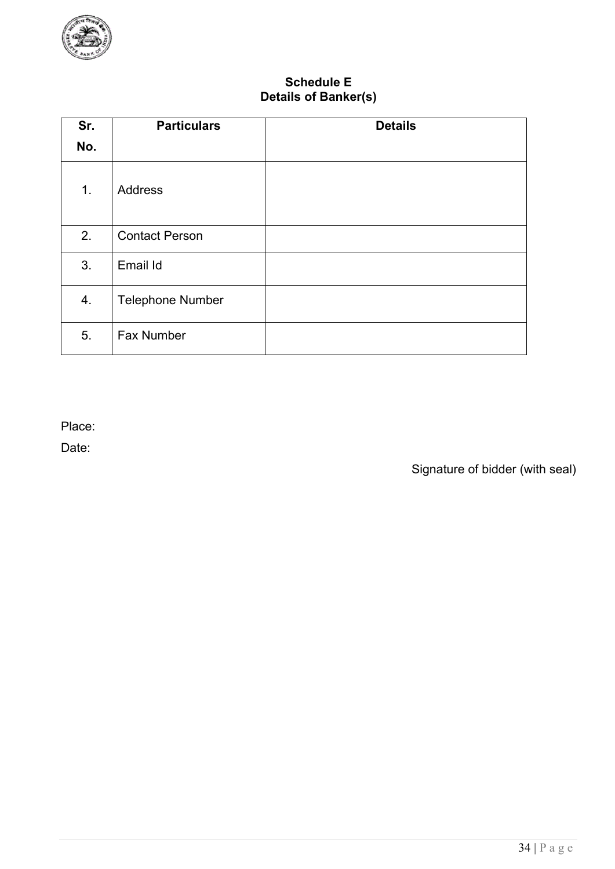

## **Schedule E Details of Banker(s)**

| Sr. | <b>Particulars</b>      | <b>Details</b> |
|-----|-------------------------|----------------|
| No. |                         |                |
| 1.  | <b>Address</b>          |                |
| 2.  | <b>Contact Person</b>   |                |
| 3.  | Email Id                |                |
| 4.  | <b>Telephone Number</b> |                |
| 5.  | <b>Fax Number</b>       |                |

Place:

Date: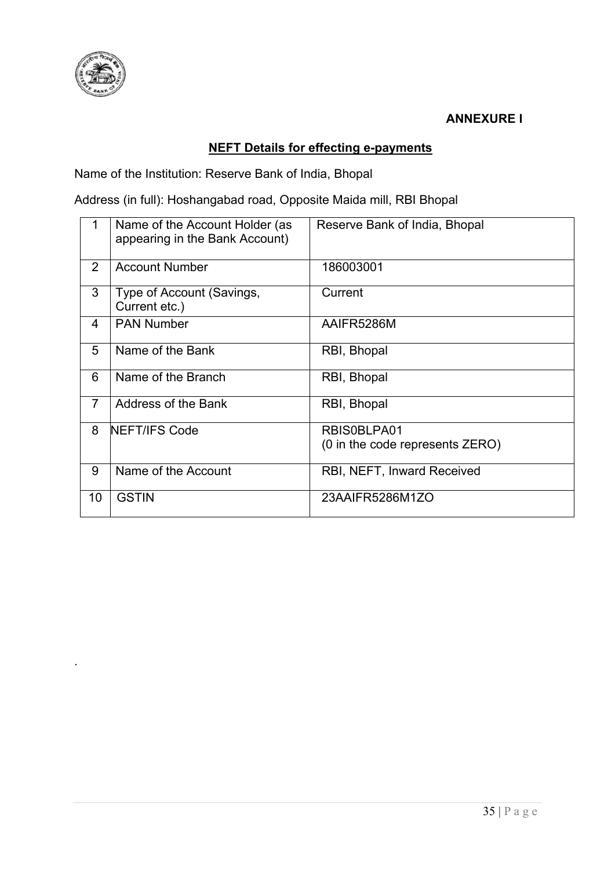

.

**ANNEXURE I**

## **NEFT Details for effecting e-payments**

Name of the Institution: Reserve Bank of India, Bhopal

Address (in full): Hoshangabad road, Opposite Maida mill, RBI Bhopal

|                | Name of the Account Holder (as<br>appearing in the Bank Account) | Reserve Bank of India, Bhopal                  |
|----------------|------------------------------------------------------------------|------------------------------------------------|
| $\overline{2}$ | <b>Account Number</b>                                            | 186003001                                      |
| 3              | Type of Account (Savings,<br>Current etc.)                       | Current                                        |
| 4              | <b>PAN Number</b>                                                | AAIFR5286M                                     |
| 5              | Name of the Bank                                                 | RBI, Bhopal                                    |
| 6              | Name of the Branch                                               | RBI, Bhopal                                    |
| $\overline{7}$ | Address of the Bank                                              | RBI, Bhopal                                    |
| 8              | <b>NEFT/IFS Code</b>                                             | RBIS0BLPA01<br>(0 in the code represents ZERO) |
| 9              | Name of the Account                                              | RBI, NEFT, Inward Received                     |
| 10             | <b>GSTIN</b>                                                     | 23AAIFR5286M1ZO                                |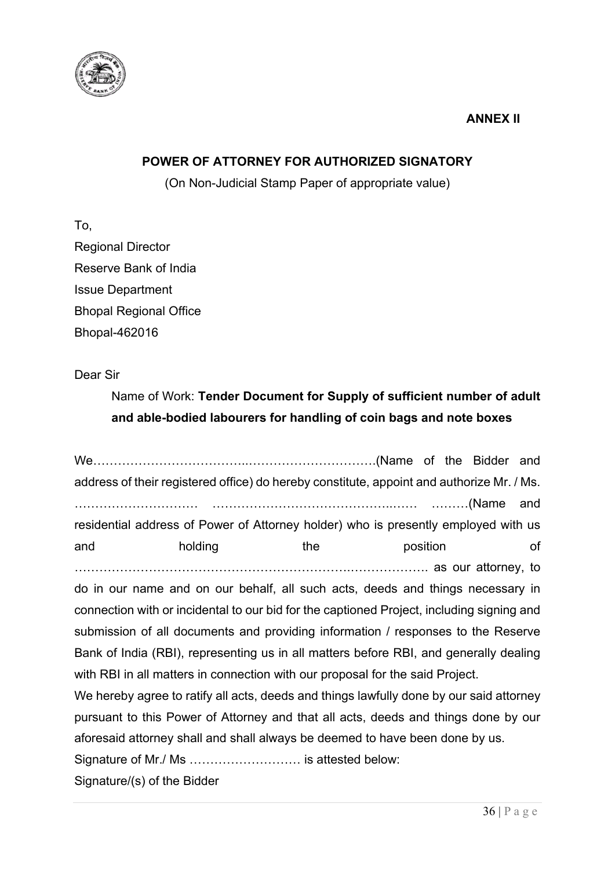

## **ANNEX II**

## **POWER OF ATTORNEY FOR AUTHORIZED SIGNATORY**

(On Non-Judicial Stamp Paper of appropriate value)

To, Regional Director Reserve Bank of India Issue Department Bhopal Regional Office Bhopal-462016

Dear Sir

## Name of Work: **Tender Document for Supply of sufficient number of adult and able-bodied labourers for handling of coin bags and note boxes**

We………………………………..………………………….(Name of the Bidder and address of their registered office) do hereby constitute, appoint and authorize Mr. / Ms. ………………………… ……………………………………..…… ………(Name and residential address of Power of Attorney holder) who is presently employed with us and the position of the position of ………………………………………………………….………………. as our attorney, to do in our name and on our behalf, all such acts, deeds and things necessary in connection with or incidental to our bid for the captioned Project, including signing and submission of all documents and providing information / responses to the Reserve Bank of India (RBI), representing us in all matters before RBI, and generally dealing

with RBI in all matters in connection with our proposal for the said Project.

We hereby agree to ratify all acts, deeds and things lawfully done by our said attorney pursuant to this Power of Attorney and that all acts, deeds and things done by our aforesaid attorney shall and shall always be deemed to have been done by us.

Signature of Mr./ Ms ……………………… is attested below:

Signature/(s) of the Bidder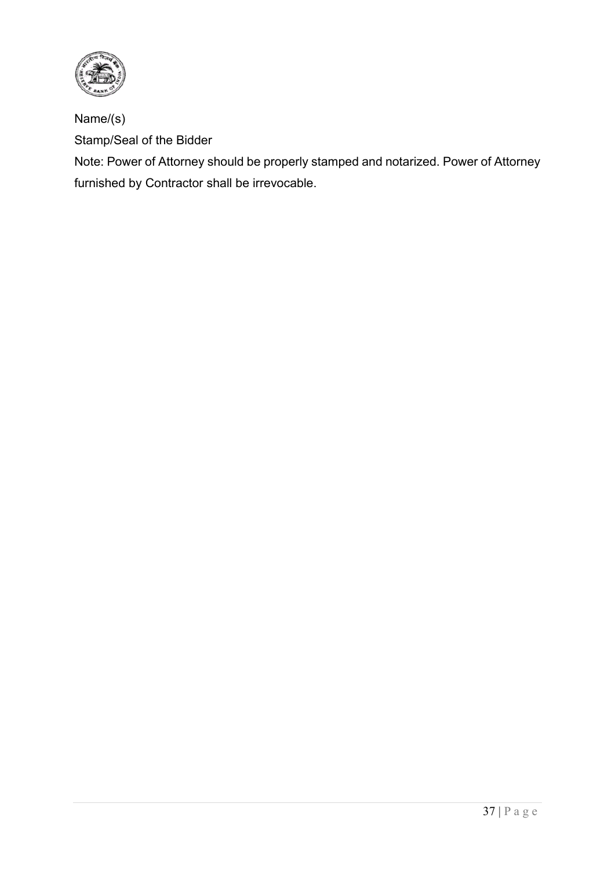

Name/(s) Stamp/Seal of the Bidder

Note: Power of Attorney should be properly stamped and notarized. Power of Attorney furnished by Contractor shall be irrevocable.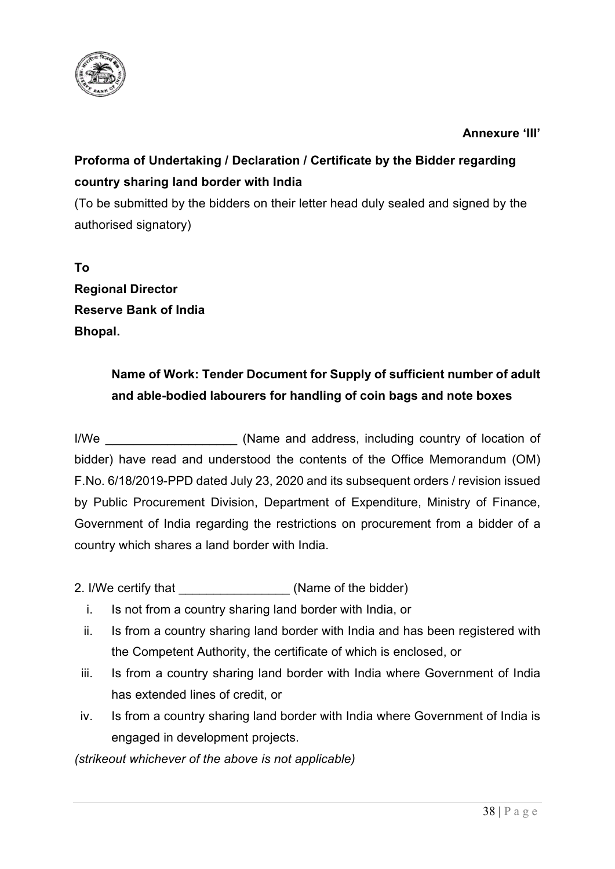

## <span id="page-38-0"></span>**Annexure 'III'**

## **Proforma of Undertaking / Declaration / Certificate by the Bidder regarding country sharing land border with India**

(To be submitted by the bidders on their letter head duly sealed and signed by the authorised signatory)

**To Regional Director Reserve Bank of India Bhopal.**

## **Name of Work: Tender Document for Supply of sufficient number of adult and able-bodied labourers for handling of coin bags and note boxes**

I/We **I/We** (Name and address, including country of location of bidder) have read and understood the contents of the Office Memorandum (OM) F.No. 6/18/2019-PPD dated July 23, 2020 and its subsequent orders / revision issued by Public Procurement Division, Department of Expenditure, Ministry of Finance, Government of India regarding the restrictions on procurement from a bidder of a country which shares a land border with India.

2. I/We certify that  $\blacksquare$  (Name of the bidder)

- i. Is not from a country sharing land border with India, or
- ii. Is from a country sharing land border with India and has been registered with the Competent Authority, the certificate of which is enclosed, or
- iii. Is from a country sharing land border with India where Government of India has extended lines of credit, or
- iv. Is from a country sharing land border with India where Government of India is engaged in development projects.

*(strikeout whichever of the above is not applicable)*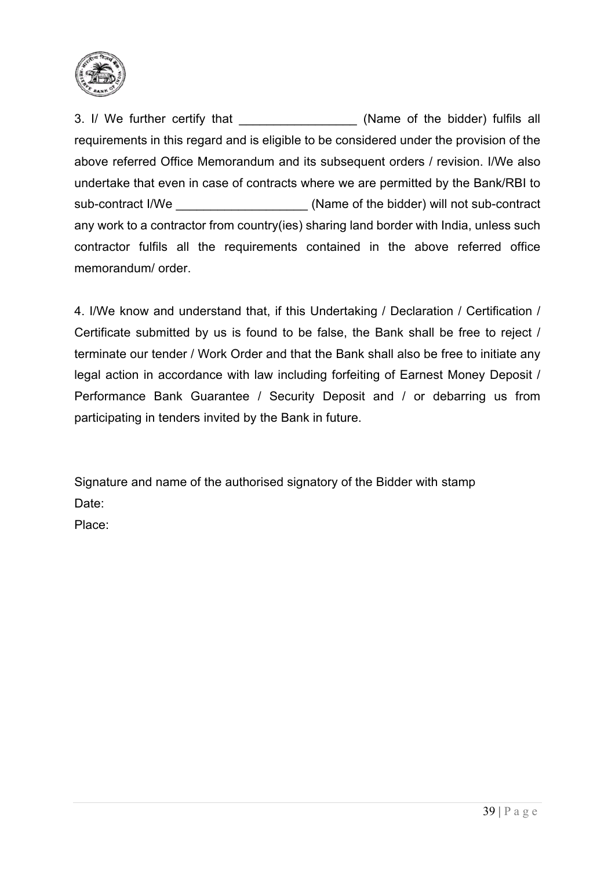

3. I/ We further certify that \_\_\_\_\_\_\_\_\_\_\_\_\_\_\_\_\_\_\_\_(Name of the bidder) fulfils all requirements in this regard and is eligible to be considered under the provision of the above referred Office Memorandum and its subsequent orders / revision. I/We also undertake that even in case of contracts where we are permitted by the Bank/RBI to sub-contract I/We **Example 20** (Name of the bidder) will not sub-contract any work to a contractor from country(ies) sharing land border with India, unless such contractor fulfils all the requirements contained in the above referred office memorandum/ order

4. I/We know and understand that, if this Undertaking / Declaration / Certification / Certificate submitted by us is found to be false, the Bank shall be free to reject / terminate our tender / Work Order and that the Bank shall also be free to initiate any legal action in accordance with law including forfeiting of Earnest Money Deposit / Performance Bank Guarantee / Security Deposit and / or debarring us from participating in tenders invited by the Bank in future.

Signature and name of the authorised signatory of the Bidder with stamp Date: Place: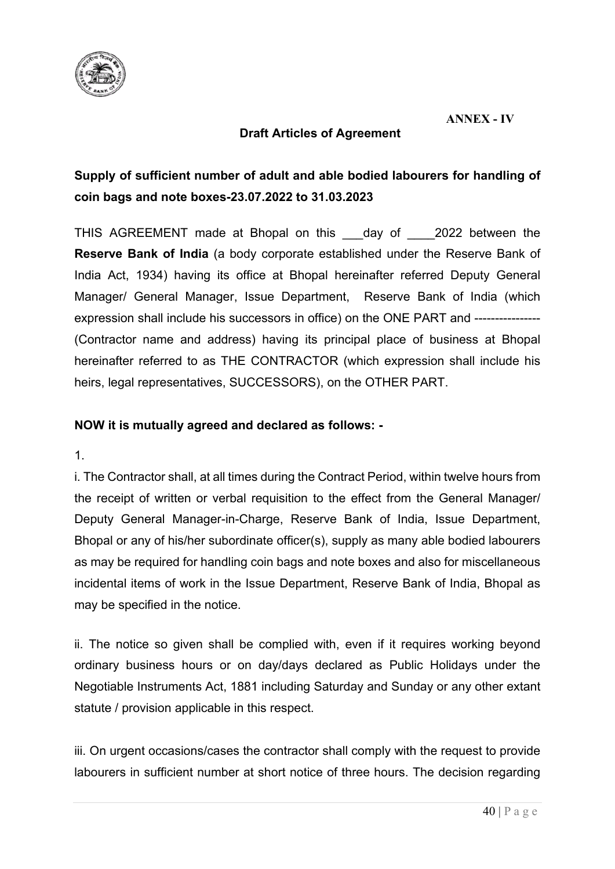

## **ANNEX - IV**

## **Draft Articles of Agreement**

## **Supply of sufficient number of adult and able bodied labourers for handling of coin bags and note boxes-23.07.2022 to 31.03.2023**

THIS AGREEMENT made at Bhopal on this day of 2022 between the **Reserve Bank of India** (a body corporate established under the Reserve Bank of India Act, 1934) having its office at Bhopal hereinafter referred Deputy General Manager/ General Manager, Issue Department, Reserve Bank of India (which expression shall include his successors in office) on the ONE PART and ---------------- (Contractor name and address) having its principal place of business at Bhopal hereinafter referred to as THE CONTRACTOR (which expression shall include his heirs, legal representatives, SUCCESSORS), on the OTHER PART.

## **NOW it is mutually agreed and declared as follows: -**

1.

i. The Contractor shall, at all times during the Contract Period, within twelve hours from the receipt of written or verbal requisition to the effect from the General Manager/ Deputy General Manager-in-Charge, Reserve Bank of India, Issue Department, Bhopal or any of his/her subordinate officer(s), supply as many able bodied labourers as may be required for handling coin bags and note boxes and also for miscellaneous incidental items of work in the Issue Department, Reserve Bank of India, Bhopal as may be specified in the notice.

ii. The notice so given shall be complied with, even if it requires working beyond ordinary business hours or on day/days declared as Public Holidays under the Negotiable Instruments Act, 1881 including Saturday and Sunday or any other extant statute / provision applicable in this respect.

iii. On urgent occasions/cases the contractor shall comply with the request to provide labourers in sufficient number at short notice of three hours. The decision regarding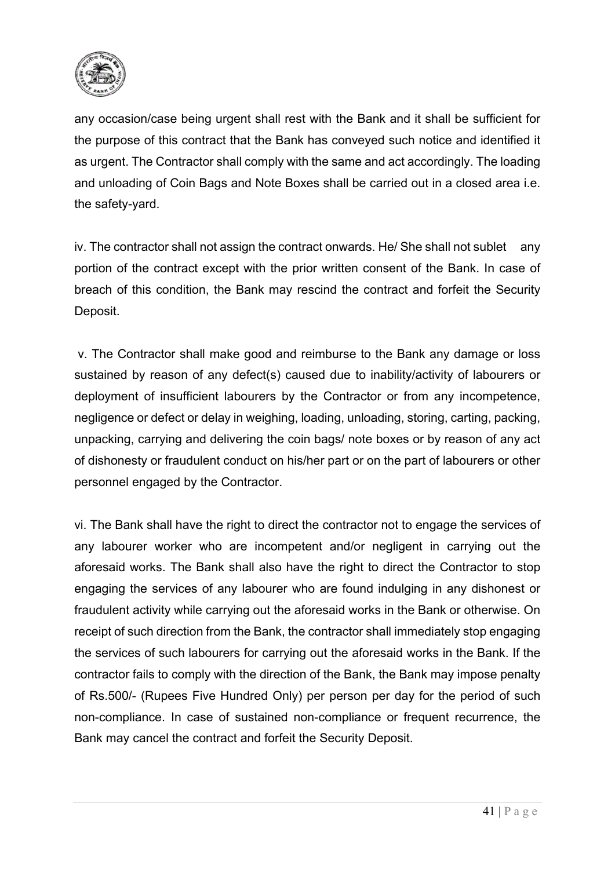

any occasion/case being urgent shall rest with the Bank and it shall be sufficient for the purpose of this contract that the Bank has conveyed such notice and identified it as urgent. The Contractor shall comply with the same and act accordingly. The loading and unloading of Coin Bags and Note Boxes shall be carried out in a closed area i.e. the safety-yard.

iv. The contractor shall not assign the contract onwards. He/ She shall not sublet any portion of the contract except with the prior written consent of the Bank. In case of breach of this condition, the Bank may rescind the contract and forfeit the Security Deposit.

v. The Contractor shall make good and reimburse to the Bank any damage or loss sustained by reason of any defect(s) caused due to inability/activity of labourers or deployment of insufficient labourers by the Contractor or from any incompetence, negligence or defect or delay in weighing, loading, unloading, storing, carting, packing, unpacking, carrying and delivering the coin bags/ note boxes or by reason of any act of dishonesty or fraudulent conduct on his/her part or on the part of labourers or other personnel engaged by the Contractor.

vi. The Bank shall have the right to direct the contractor not to engage the services of any labourer worker who are incompetent and/or negligent in carrying out the aforesaid works. The Bank shall also have the right to direct the Contractor to stop engaging the services of any labourer who are found indulging in any dishonest or fraudulent activity while carrying out the aforesaid works in the Bank or otherwise. On receipt of such direction from the Bank, the contractor shall immediately stop engaging the services of such labourers for carrying out the aforesaid works in the Bank. If the contractor fails to comply with the direction of the Bank, the Bank may impose penalty of Rs.500/- (Rupees Five Hundred Only) per person per day for the period of such non-compliance. In case of sustained non-compliance or frequent recurrence, the Bank may cancel the contract and forfeit the Security Deposit.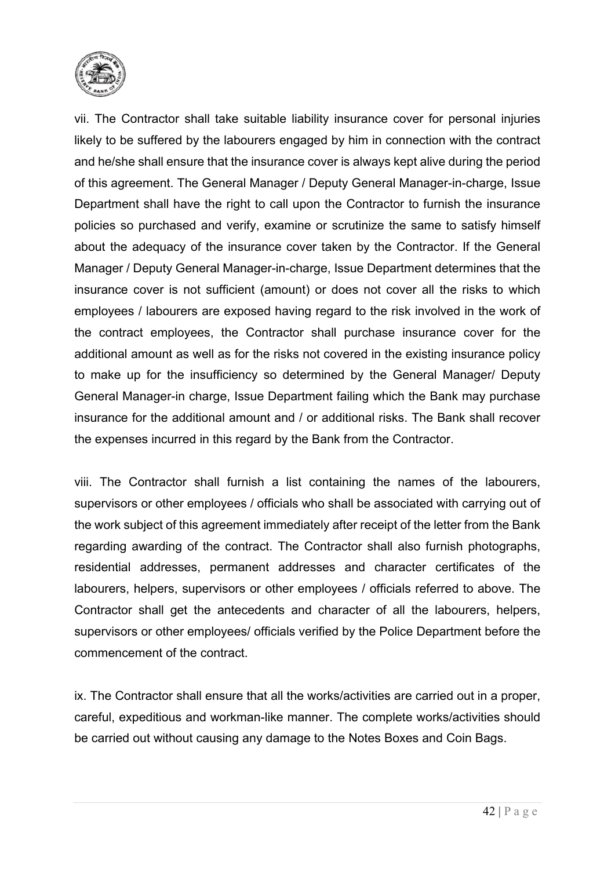

vii. The Contractor shall take suitable liability insurance cover for personal injuries likely to be suffered by the labourers engaged by him in connection with the contract and he/she shall ensure that the insurance cover is always kept alive during the period of this agreement. The General Manager / Deputy General Manager-in-charge, Issue Department shall have the right to call upon the Contractor to furnish the insurance policies so purchased and verify, examine or scrutinize the same to satisfy himself about the adequacy of the insurance cover taken by the Contractor. If the General Manager / Deputy General Manager-in-charge, Issue Department determines that the insurance cover is not sufficient (amount) or does not cover all the risks to which employees / labourers are exposed having regard to the risk involved in the work of the contract employees, the Contractor shall purchase insurance cover for the additional amount as well as for the risks not covered in the existing insurance policy to make up for the insufficiency so determined by the General Manager/ Deputy General Manager-in charge, Issue Department failing which the Bank may purchase insurance for the additional amount and / or additional risks. The Bank shall recover the expenses incurred in this regard by the Bank from the Contractor.

viii. The Contractor shall furnish a list containing the names of the labourers, supervisors or other employees / officials who shall be associated with carrying out of the work subject of this agreement immediately after receipt of the letter from the Bank regarding awarding of the contract. The Contractor shall also furnish photographs, residential addresses, permanent addresses and character certificates of the labourers, helpers, supervisors or other employees / officials referred to above. The Contractor shall get the antecedents and character of all the labourers, helpers, supervisors or other employees/ officials verified by the Police Department before the commencement of the contract.

ix. The Contractor shall ensure that all the works/activities are carried out in a proper, careful, expeditious and workman-like manner. The complete works/activities should be carried out without causing any damage to the Notes Boxes and Coin Bags.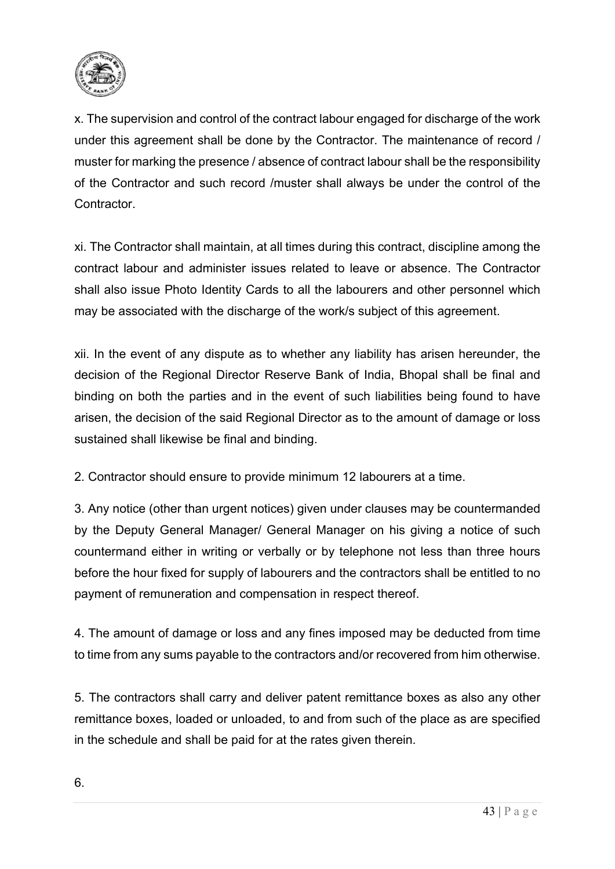

x. The supervision and control of the contract labour engaged for discharge of the work under this agreement shall be done by the Contractor. The maintenance of record / muster for marking the presence / absence of contract labour shall be the responsibility of the Contractor and such record /muster shall always be under the control of the **Contractor** 

xi. The Contractor shall maintain, at all times during this contract, discipline among the contract labour and administer issues related to leave or absence. The Contractor shall also issue Photo Identity Cards to all the labourers and other personnel which may be associated with the discharge of the work/s subject of this agreement.

xii. In the event of any dispute as to whether any liability has arisen hereunder, the decision of the Regional Director Reserve Bank of India, Bhopal shall be final and binding on both the parties and in the event of such liabilities being found to have arisen, the decision of the said Regional Director as to the amount of damage or loss sustained shall likewise be final and binding.

2. Contractor should ensure to provide minimum 12 labourers at a time.

3. Any notice (other than urgent notices) given under clauses may be countermanded by the Deputy General Manager/ General Manager on his giving a notice of such countermand either in writing or verbally or by telephone not less than three hours before the hour fixed for supply of labourers and the contractors shall be entitled to no payment of remuneration and compensation in respect thereof.

4. The amount of damage or loss and any fines imposed may be deducted from time to time from any sums payable to the contractors and/or recovered from him otherwise.

5. The contractors shall carry and deliver patent remittance boxes as also any other remittance boxes, loaded or unloaded, to and from such of the place as are specified in the schedule and shall be paid for at the rates given therein.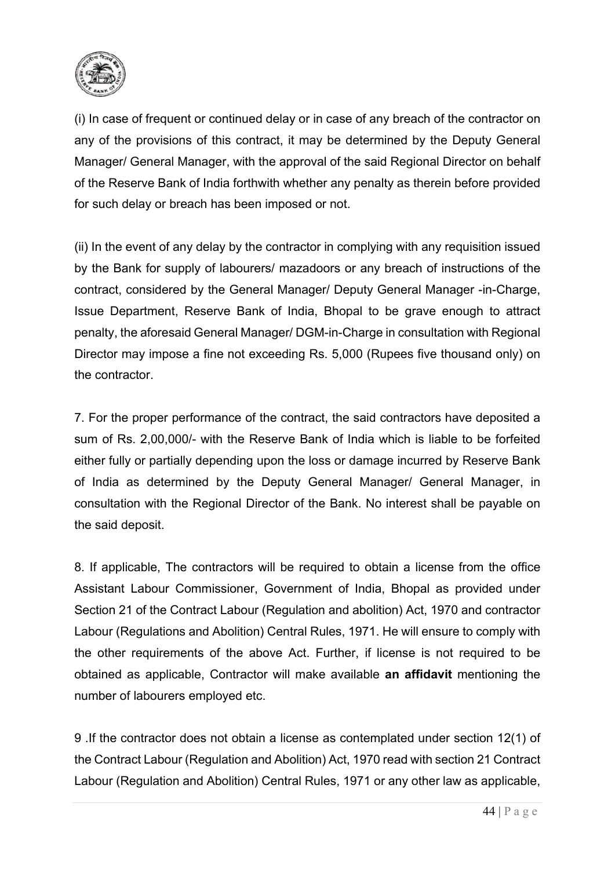

(i) In case of frequent or continued delay or in case of any breach of the contractor on any of the provisions of this contract, it may be determined by the Deputy General Manager/ General Manager, with the approval of the said Regional Director on behalf of the Reserve Bank of India forthwith whether any penalty as therein before provided for such delay or breach has been imposed or not.

(ii) In the event of any delay by the contractor in complying with any requisition issued by the Bank for supply of labourers/ mazadoors or any breach of instructions of the contract, considered by the General Manager/ Deputy General Manager -in-Charge, Issue Department, Reserve Bank of India, Bhopal to be grave enough to attract penalty, the aforesaid General Manager/ DGM-in-Charge in consultation with Regional Director may impose a fine not exceeding Rs. 5,000 (Rupees five thousand only) on the contractor.

7. For the proper performance of the contract, the said contractors have deposited a sum of Rs. 2,00,000/- with the Reserve Bank of India which is liable to be forfeited either fully or partially depending upon the loss or damage incurred by Reserve Bank of India as determined by the Deputy General Manager/ General Manager, in consultation with the Regional Director of the Bank. No interest shall be payable on the said deposit.

8. If applicable, The contractors will be required to obtain a license from the office Assistant Labour Commissioner, Government of India, Bhopal as provided under Section 21 of the Contract Labour (Regulation and abolition) Act, 1970 and contractor Labour (Regulations and Abolition) Central Rules, 1971. He will ensure to comply with the other requirements of the above Act. Further, if license is not required to be obtained as applicable, Contractor will make available **an affidavit** mentioning the number of labourers employed etc.

9 .If the contractor does not obtain a license as contemplated under section 12(1) of the Contract Labour (Regulation and Abolition) Act, 1970 read with section 21 Contract Labour (Regulation and Abolition) Central Rules, 1971 or any other law as applicable,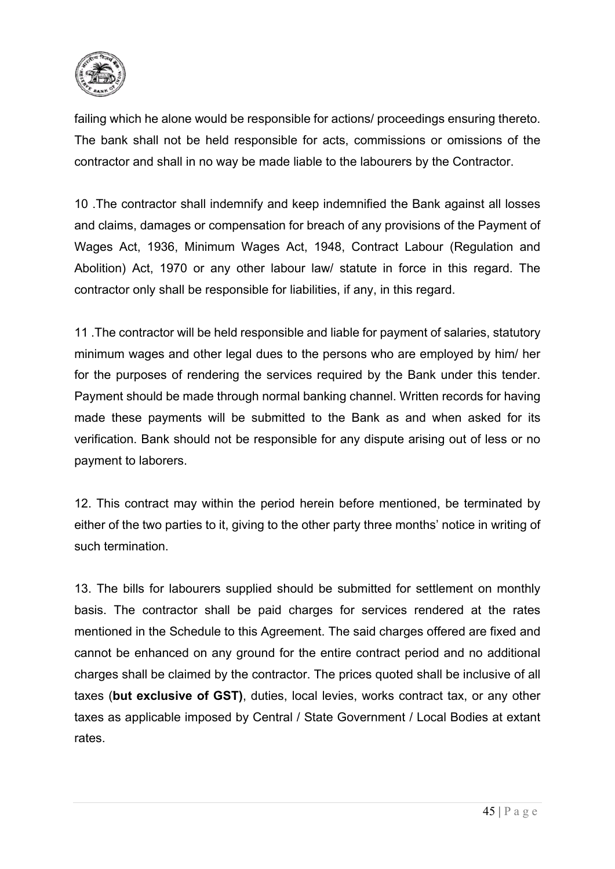

failing which he alone would be responsible for actions/ proceedings ensuring thereto. The bank shall not be held responsible for acts, commissions or omissions of the contractor and shall in no way be made liable to the labourers by the Contractor.

10 .The contractor shall indemnify and keep indemnified the Bank against all losses and claims, damages or compensation for breach of any provisions of the Payment of Wages Act, 1936, Minimum Wages Act, 1948, Contract Labour (Regulation and Abolition) Act, 1970 or any other labour law/ statute in force in this regard. The contractor only shall be responsible for liabilities, if any, in this regard.

11 .The contractor will be held responsible and liable for payment of salaries, statutory minimum wages and other legal dues to the persons who are employed by him/ her for the purposes of rendering the services required by the Bank under this tender. Payment should be made through normal banking channel. Written records for having made these payments will be submitted to the Bank as and when asked for its verification. Bank should not be responsible for any dispute arising out of less or no payment to laborers.

12. This contract may within the period herein before mentioned, be terminated by either of the two parties to it, giving to the other party three months' notice in writing of such termination.

13. The bills for labourers supplied should be submitted for settlement on monthly basis. The contractor shall be paid charges for services rendered at the rates mentioned in the Schedule to this Agreement. The said charges offered are fixed and cannot be enhanced on any ground for the entire contract period and no additional charges shall be claimed by the contractor. The prices quoted shall be inclusive of all taxes (**but exclusive of GST)**, duties, local levies, works contract tax, or any other taxes as applicable imposed by Central / State Government / Local Bodies at extant rates.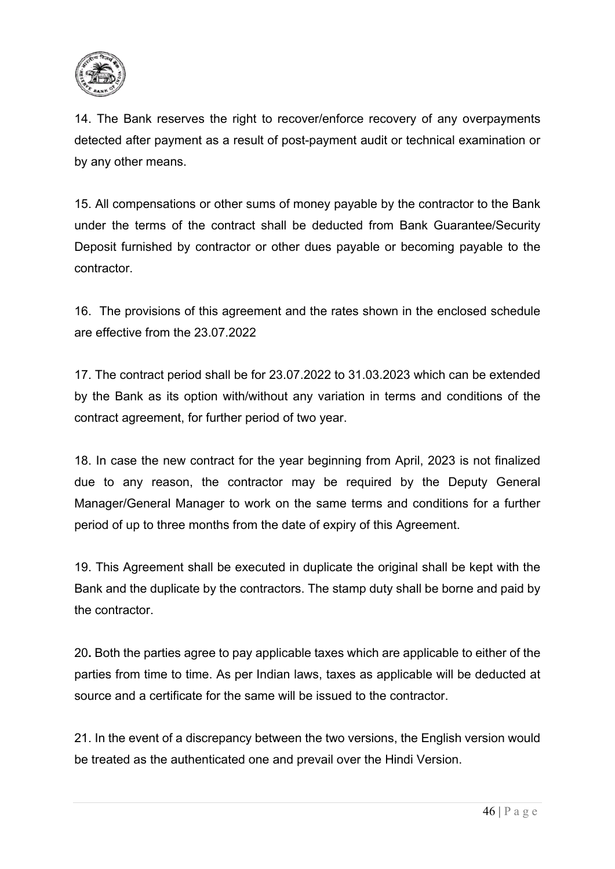

14. The Bank reserves the right to recover/enforce recovery of any overpayments detected after payment as a result of post-payment audit or technical examination or by any other means.

15. All compensations or other sums of money payable by the contractor to the Bank under the terms of the contract shall be deducted from Bank Guarantee/Security Deposit furnished by contractor or other dues payable or becoming payable to the contractor.

16. The provisions of this agreement and the rates shown in the enclosed schedule are effective from the 23.07.2022

17. The contract period shall be for 23.07.2022 to 31.03.2023 which can be extended by the Bank as its option with/without any variation in terms and conditions of the contract agreement, for further period of two year.

18. In case the new contract for the year beginning from April, 2023 is not finalized due to any reason, the contractor may be required by the Deputy General Manager/General Manager to work on the same terms and conditions for a further period of up to three months from the date of expiry of this Agreement.

19. This Agreement shall be executed in duplicate the original shall be kept with the Bank and the duplicate by the contractors. The stamp duty shall be borne and paid by the contractor.

20**.** Both the parties agree to pay applicable taxes which are applicable to either of the parties from time to time. As per Indian laws, taxes as applicable will be deducted at source and a certificate for the same will be issued to the contractor.

21. In the event of a discrepancy between the two versions, the English version would be treated as the authenticated one and prevail over the Hindi Version.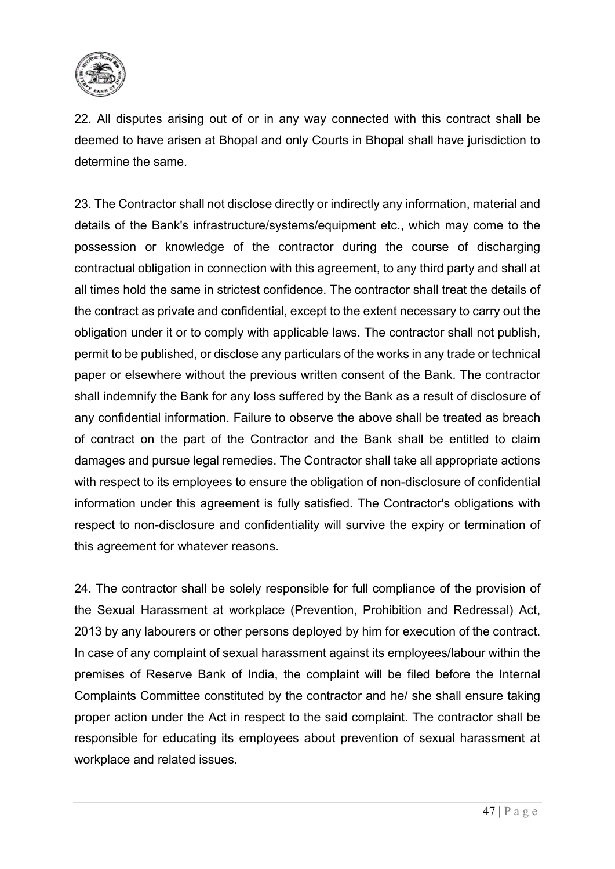

22. All disputes arising out of or in any way connected with this contract shall be deemed to have arisen at Bhopal and only Courts in Bhopal shall have jurisdiction to determine the same.

23. The Contractor shall not disclose directly or indirectly any information, material and details of the Bank's infrastructure/systems/equipment etc., which may come to the possession or knowledge of the contractor during the course of discharging contractual obligation in connection with this agreement, to any third party and shall at all times hold the same in strictest confidence. The contractor shall treat the details of the contract as private and confidential, except to the extent necessary to carry out the obligation under it or to comply with applicable laws. The contractor shall not publish, permit to be published, or disclose any particulars of the works in any trade or technical paper or elsewhere without the previous written consent of the Bank. The contractor shall indemnify the Bank for any loss suffered by the Bank as a result of disclosure of any confidential information. Failure to observe the above shall be treated as breach of contract on the part of the Contractor and the Bank shall be entitled to claim damages and pursue legal remedies. The Contractor shall take all appropriate actions with respect to its employees to ensure the obligation of non-disclosure of confidential information under this agreement is fully satisfied. The Contractor's obligations with respect to non-disclosure and confidentiality will survive the expiry or termination of this agreement for whatever reasons.

24. The contractor shall be solely responsible for full compliance of the provision of the Sexual Harassment at workplace (Prevention, Prohibition and Redressal) Act, 2013 by any labourers or other persons deployed by him for execution of the contract. In case of any complaint of sexual harassment against its employees/labour within the premises of Reserve Bank of India, the complaint will be filed before the Internal Complaints Committee constituted by the contractor and he/ she shall ensure taking proper action under the Act in respect to the said complaint. The contractor shall be responsible for educating its employees about prevention of sexual harassment at workplace and related issues.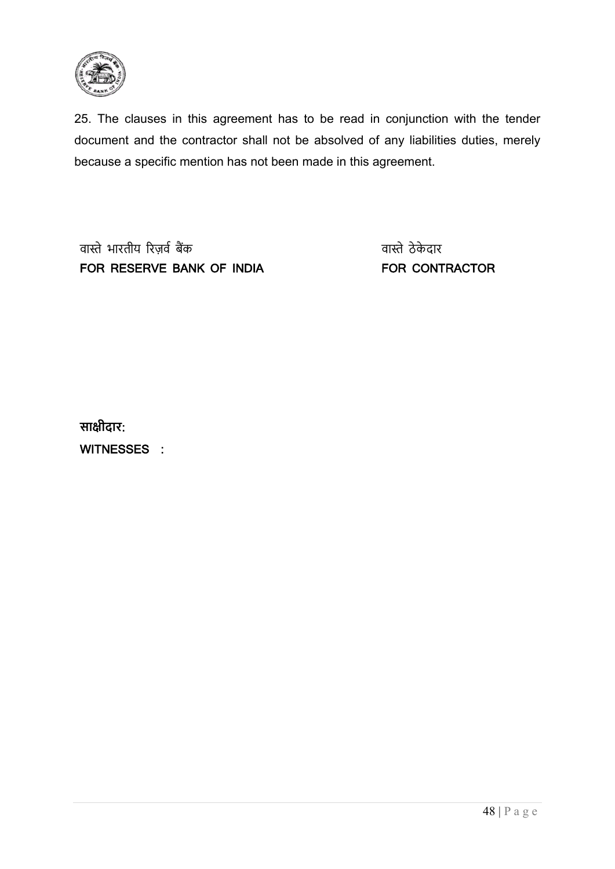

25. The clauses in this agreement has to be read in conjunction with the tender document and the contractor shall not be absolved of any liabilities duties, merely because a specific mention has not been made in this agreement.

वास्ते भारतीय रिज़र्व बैंक FOR RESERVE BANK OF INDIA

वा�ेठे के दार FOR CONTRACTOR

**सा�ीदार**: WITNESSES :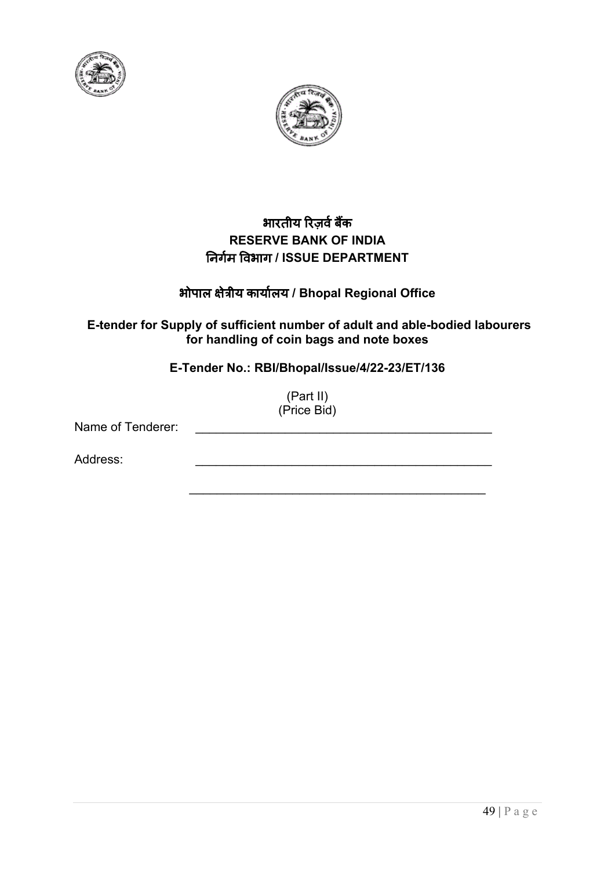



## भारतीय रिज़र्व बैंक **RESERVE BANK OF INDIA** �नगर्म �वभाग **/ ISSUE DEPARTMENT**

## भोपाल �ेत्रीय कायार्लय **/ Bhopal Regional Office**

## **E-tender for Supply of sufficient number of adult and able-bodied labourers for handling of coin bags and note boxes**

**E-Tender No.: RBI/Bhopal/Issue/4/22-23/ET/136**

(Part II) (Price Bid)

\_\_\_\_\_\_\_\_\_\_\_\_\_\_\_\_\_\_\_\_\_\_\_\_\_\_\_\_\_\_\_\_\_\_\_\_\_\_\_\_\_\_\_

Name of Tenderer:

Address: \_\_\_\_\_\_\_\_\_\_\_\_\_\_\_\_\_\_\_\_\_\_\_\_\_\_\_\_\_\_\_\_\_\_\_\_\_\_\_\_\_\_\_

49 | Page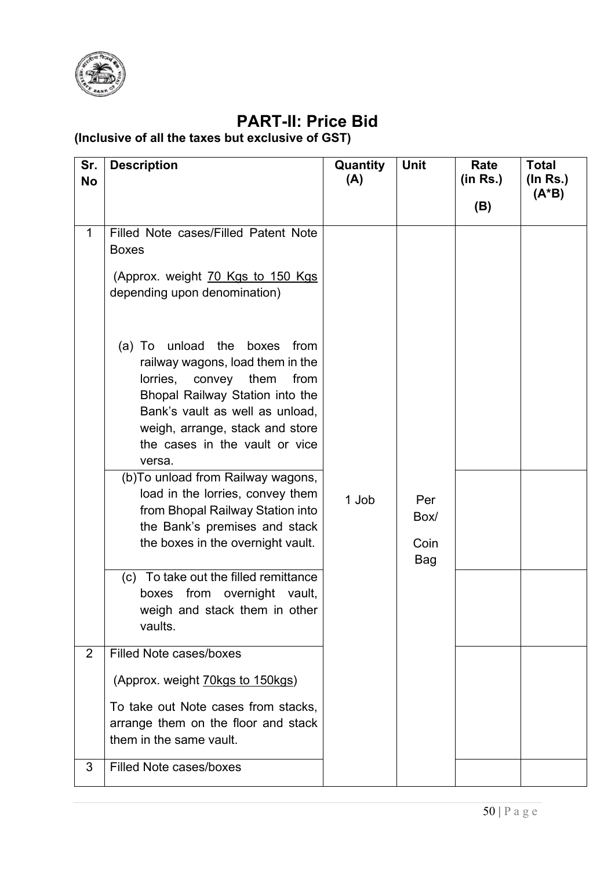

# **PART-II: Price Bid**

## **(Inclusive of all the taxes but exclusive of GST)**

| Sr.<br><b>No</b> | <b>Description</b>                                                                                                                                                                                                                                                                                                                                                                                                                                 | Quantity<br>(A) | <b>Unit</b>                | Rate<br>(in Rs.) | <b>Total</b><br>$($ ln Rs. $)$ |
|------------------|----------------------------------------------------------------------------------------------------------------------------------------------------------------------------------------------------------------------------------------------------------------------------------------------------------------------------------------------------------------------------------------------------------------------------------------------------|-----------------|----------------------------|------------------|--------------------------------|
|                  |                                                                                                                                                                                                                                                                                                                                                                                                                                                    |                 |                            | (B)              | $(A^*B)$                       |
| $\mathbf 1$      | Filled Note cases/Filled Patent Note<br><b>Boxes</b><br>(Approx. weight 70 Kgs to 150 Kgs<br>depending upon denomination)                                                                                                                                                                                                                                                                                                                          |                 |                            |                  |                                |
|                  | (a) To unload the boxes<br>from<br>railway wagons, load them in the<br>lorries,<br>convey<br>them<br>from<br>Bhopal Railway Station into the<br>Bank's vault as well as unload,<br>weigh, arrange, stack and store<br>the cases in the vault or vice<br>versa.<br>(b) To unload from Railway wagons,<br>load in the lorries, convey them<br>from Bhopal Railway Station into<br>the Bank's premises and stack<br>the boxes in the overnight vault. | 1 Job           | Per<br>Box/<br>Coin<br>Bag |                  |                                |
|                  | (c) To take out the filled remittance<br>boxes from overnight vault,<br>weigh and stack them in other<br>vaults.                                                                                                                                                                                                                                                                                                                                   |                 |                            |                  |                                |
| $\overline{2}$   | <b>Filled Note cases/boxes</b>                                                                                                                                                                                                                                                                                                                                                                                                                     |                 |                            |                  |                                |
|                  | (Approx. weight <b>70kgs to 150kgs)</b><br>To take out Note cases from stacks,<br>arrange them on the floor and stack<br>them in the same vault.                                                                                                                                                                                                                                                                                                   |                 |                            |                  |                                |
| 3                | <b>Filled Note cases/boxes</b>                                                                                                                                                                                                                                                                                                                                                                                                                     |                 |                            |                  |                                |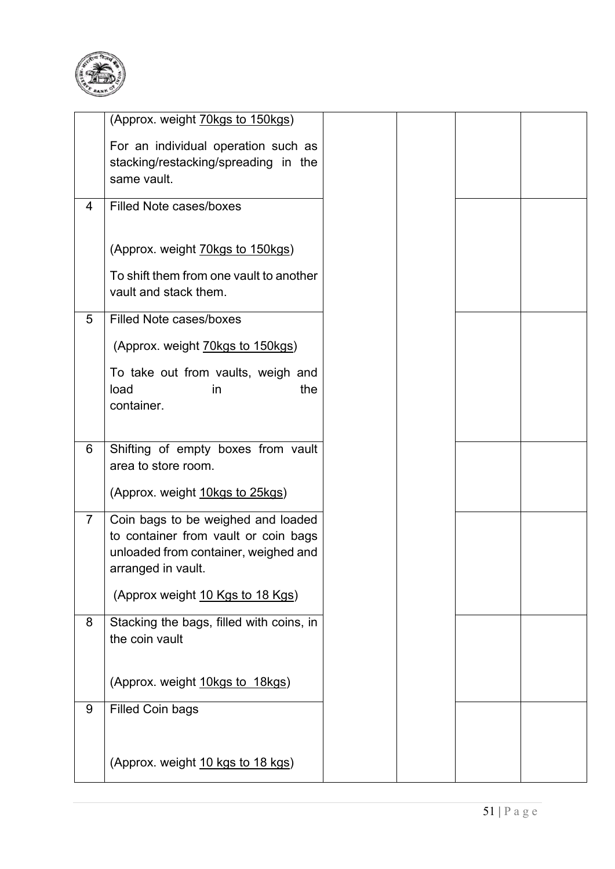

|                | (Approx. weight <b>70kgs to 150kgs)</b>                                                                                                  |  |  |
|----------------|------------------------------------------------------------------------------------------------------------------------------------------|--|--|
|                | For an individual operation such as<br>stacking/restacking/spreading in the<br>same vault.                                               |  |  |
| 4              | <b>Filled Note cases/boxes</b>                                                                                                           |  |  |
|                | (Approx. weight 70kgs to 150kgs)<br>To shift them from one vault to another<br>vault and stack them.                                     |  |  |
| 5              | <b>Filled Note cases/boxes</b>                                                                                                           |  |  |
|                | (Approx. weight 70kgs to 150kgs)                                                                                                         |  |  |
|                | To take out from vaults, weigh and<br>the<br>load<br>in<br>container.                                                                    |  |  |
| 6              | Shifting of empty boxes from vault<br>area to store room.                                                                                |  |  |
|                | (Approx. weight 10kgs to 25kgs)                                                                                                          |  |  |
| $\overline{7}$ | Coin bags to be weighed and loaded<br>to container from vault or coin bags<br>unloaded from container, weighed and<br>arranged in vault. |  |  |
|                | (Approx weight 10 Kgs to 18 Kgs)                                                                                                         |  |  |
| 8              | Stacking the bags, filled with coins, in<br>the coin vault                                                                               |  |  |
|                | (Approx. weight 10kgs to 18kgs)                                                                                                          |  |  |
| 9              | <b>Filled Coin bags</b>                                                                                                                  |  |  |
|                | (Approx. weight 10 kgs to 18 kgs)                                                                                                        |  |  |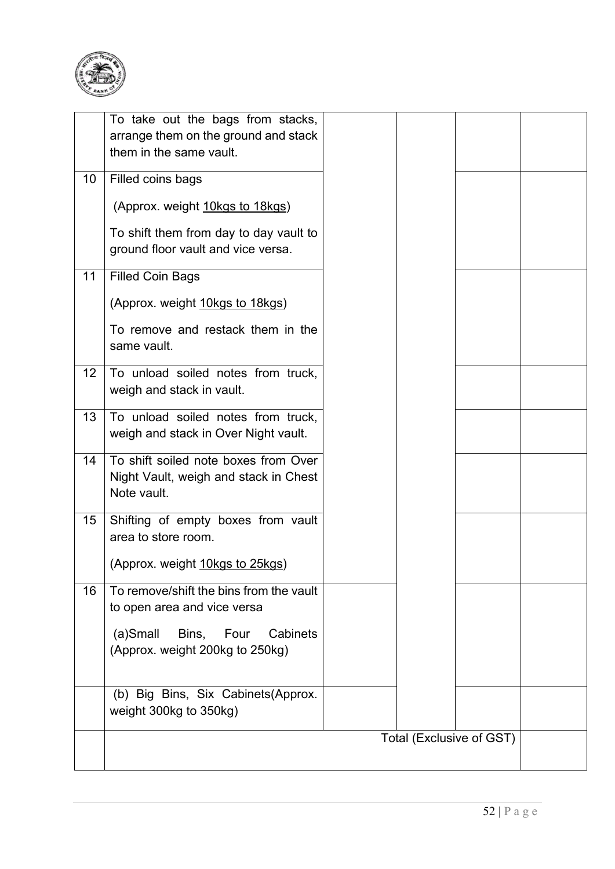

|    | To take out the bags from stacks,<br>arrange them on the ground and stack<br>them in the same vault. |  |                          |  |
|----|------------------------------------------------------------------------------------------------------|--|--------------------------|--|
| 10 | Filled coins bags                                                                                    |  |                          |  |
|    | (Approx. weight 10kgs to 18kgs)                                                                      |  |                          |  |
|    | To shift them from day to day vault to<br>ground floor vault and vice versa.                         |  |                          |  |
| 11 | <b>Filled Coin Bags</b>                                                                              |  |                          |  |
|    | (Approx. weight 10kgs to 18kgs)                                                                      |  |                          |  |
|    | To remove and restack them in the<br>same vault.                                                     |  |                          |  |
| 12 | To unload soiled notes from truck,<br>weigh and stack in vault.                                      |  |                          |  |
| 13 | To unload soiled notes from truck,<br>weigh and stack in Over Night vault.                           |  |                          |  |
| 14 | To shift soiled note boxes from Over<br>Night Vault, weigh and stack in Chest<br>Note vault.         |  |                          |  |
| 15 | Shifting of empty boxes from vault<br>area to store room.                                            |  |                          |  |
|    | (Approx. weight 10kgs to 25kgs)                                                                      |  |                          |  |
| 16 | To remove/shift the bins from the vault<br>to open area and vice versa                               |  |                          |  |
|    | Bins, Four<br>$(a)$ Small<br>Cabinets<br>(Approx. weight 200kg to 250kg)                             |  |                          |  |
|    | (b) Big Bins, Six Cabinets (Approx.<br>weight 300kg to 350kg)                                        |  |                          |  |
|    |                                                                                                      |  | Total (Exclusive of GST) |  |